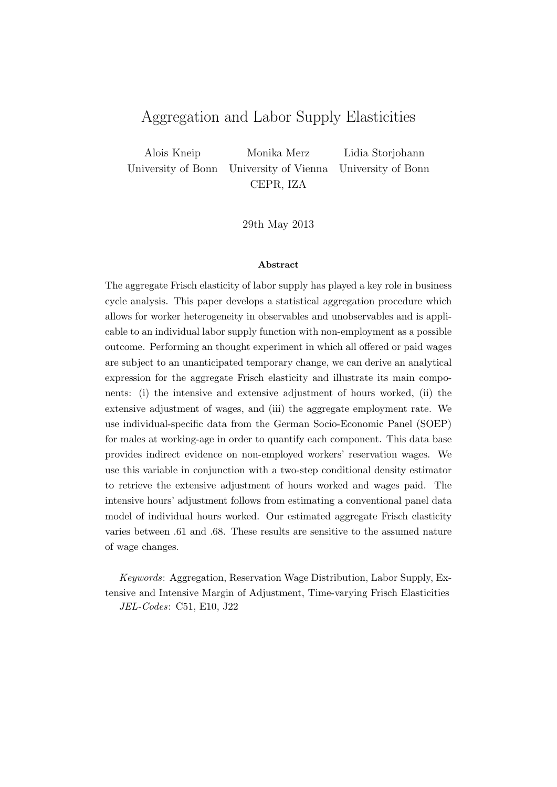## Aggregation and Labor Supply Elasticities

Alois Kneip University of Bonn Monika Merz University of Vienna CEPR, IZA Lidia Storjohann University of Bonn

29th May 2013

#### Abstract

The aggregate Frisch elasticity of labor supply has played a key role in business cycle analysis. This paper develops a statistical aggregation procedure which allows for worker heterogeneity in observables and unobservables and is applicable to an individual labor supply function with non-employment as a possible outcome. Performing an thought experiment in which all offered or paid wages are subject to an unanticipated temporary change, we can derive an analytical expression for the aggregate Frisch elasticity and illustrate its main components: (i) the intensive and extensive adjustment of hours worked, (ii) the extensive adjustment of wages, and (iii) the aggregate employment rate. We use individual-specific data from the German Socio-Economic Panel (SOEP) for males at working-age in order to quantify each component. This data base provides indirect evidence on non-employed workers' reservation wages. We use this variable in conjunction with a two-step conditional density estimator to retrieve the extensive adjustment of hours worked and wages paid. The intensive hours' adjustment follows from estimating a conventional panel data model of individual hours worked. Our estimated aggregate Frisch elasticity varies between .61 and .68. These results are sensitive to the assumed nature of wage changes.

Keywords: Aggregation, Reservation Wage Distribution, Labor Supply, Extensive and Intensive Margin of Adjustment, Time-varying Frisch Elasticities JEL-Codes: C51, E10, J22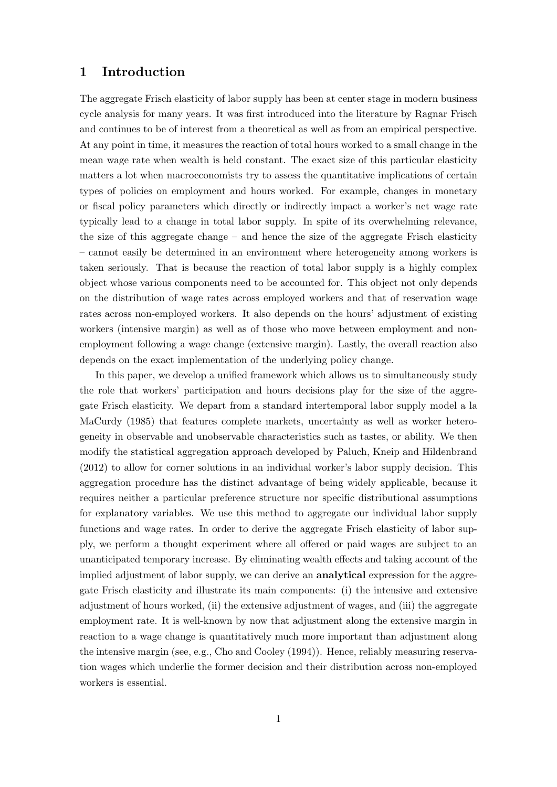## 1 Introduction

The aggregate Frisch elasticity of labor supply has been at center stage in modern business cycle analysis for many years. It was first introduced into the literature by Ragnar Frisch and continues to be of interest from a theoretical as well as from an empirical perspective. At any point in time, it measures the reaction of total hours worked to a small change in the mean wage rate when wealth is held constant. The exact size of this particular elasticity matters a lot when macroeconomists try to assess the quantitative implications of certain types of policies on employment and hours worked. For example, changes in monetary or fiscal policy parameters which directly or indirectly impact a worker's net wage rate typically lead to a change in total labor supply. In spite of its overwhelming relevance, the size of this aggregate change – and hence the size of the aggregate Frisch elasticity – cannot easily be determined in an environment where heterogeneity among workers is taken seriously. That is because the reaction of total labor supply is a highly complex object whose various components need to be accounted for. This object not only depends on the distribution of wage rates across employed workers and that of reservation wage rates across non-employed workers. It also depends on the hours' adjustment of existing workers (intensive margin) as well as of those who move between employment and nonemployment following a wage change (extensive margin). Lastly, the overall reaction also depends on the exact implementation of the underlying policy change.

In this paper, we develop a unified framework which allows us to simultaneously study the role that workers' participation and hours decisions play for the size of the aggregate Frisch elasticity. We depart from a standard intertemporal labor supply model a la MaCurdy (1985) that features complete markets, uncertainty as well as worker heterogeneity in observable and unobservable characteristics such as tastes, or ability. We then modify the statistical aggregation approach developed by Paluch, Kneip and Hildenbrand (2012) to allow for corner solutions in an individual worker's labor supply decision. This aggregation procedure has the distinct advantage of being widely applicable, because it requires neither a particular preference structure nor specific distributional assumptions for explanatory variables. We use this method to aggregate our individual labor supply functions and wage rates. In order to derive the aggregate Frisch elasticity of labor supply, we perform a thought experiment where all offered or paid wages are subject to an unanticipated temporary increase. By eliminating wealth effects and taking account of the implied adjustment of labor supply, we can derive an **analytical** expression for the aggregate Frisch elasticity and illustrate its main components: (i) the intensive and extensive adjustment of hours worked, (ii) the extensive adjustment of wages, and (iii) the aggregate employment rate. It is well-known by now that adjustment along the extensive margin in reaction to a wage change is quantitatively much more important than adjustment along the intensive margin (see, e.g., Cho and Cooley (1994)). Hence, reliably measuring reservation wages which underlie the former decision and their distribution across non-employed workers is essential.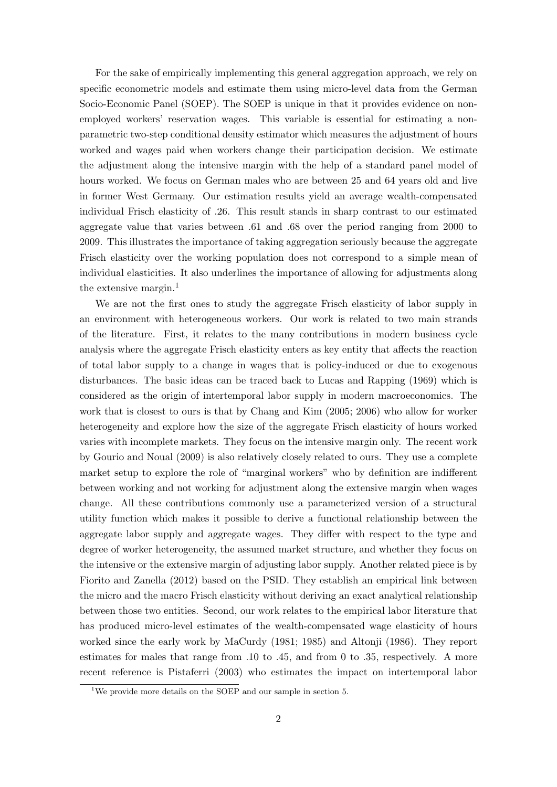For the sake of empirically implementing this general aggregation approach, we rely on specific econometric models and estimate them using micro-level data from the German Socio-Economic Panel (SOEP). The SOEP is unique in that it provides evidence on nonemployed workers' reservation wages. This variable is essential for estimating a nonparametric two-step conditional density estimator which measures the adjustment of hours worked and wages paid when workers change their participation decision. We estimate the adjustment along the intensive margin with the help of a standard panel model of hours worked. We focus on German males who are between 25 and 64 years old and live in former West Germany. Our estimation results yield an average wealth-compensated individual Frisch elasticity of .26. This result stands in sharp contrast to our estimated aggregate value that varies between .61 and .68 over the period ranging from 2000 to 2009. This illustrates the importance of taking aggregation seriously because the aggregate Frisch elasticity over the working population does not correspond to a simple mean of individual elasticities. It also underlines the importance of allowing for adjustments along the extensive margin.<sup>1</sup>

We are not the first ones to study the aggregate Frisch elasticity of labor supply in an environment with heterogeneous workers. Our work is related to two main strands of the literature. First, it relates to the many contributions in modern business cycle analysis where the aggregate Frisch elasticity enters as key entity that affects the reaction of total labor supply to a change in wages that is policy-induced or due to exogenous disturbances. The basic ideas can be traced back to Lucas and Rapping (1969) which is considered as the origin of intertemporal labor supply in modern macroeconomics. The work that is closest to ours is that by Chang and Kim (2005; 2006) who allow for worker heterogeneity and explore how the size of the aggregate Frisch elasticity of hours worked varies with incomplete markets. They focus on the intensive margin only. The recent work by Gourio and Noual (2009) is also relatively closely related to ours. They use a complete market setup to explore the role of "marginal workers" who by definition are indifferent between working and not working for adjustment along the extensive margin when wages change. All these contributions commonly use a parameterized version of a structural utility function which makes it possible to derive a functional relationship between the aggregate labor supply and aggregate wages. They differ with respect to the type and degree of worker heterogeneity, the assumed market structure, and whether they focus on the intensive or the extensive margin of adjusting labor supply. Another related piece is by Fiorito and Zanella (2012) based on the PSID. They establish an empirical link between the micro and the macro Frisch elasticity without deriving an exact analytical relationship between those two entities. Second, our work relates to the empirical labor literature that has produced micro-level estimates of the wealth-compensated wage elasticity of hours worked since the early work by MaCurdy (1981; 1985) and Altonji (1986). They report estimates for males that range from .10 to .45, and from 0 to .35, respectively. A more recent reference is Pistaferri (2003) who estimates the impact on intertemporal labor

<sup>1</sup>We provide more details on the SOEP and our sample in section 5.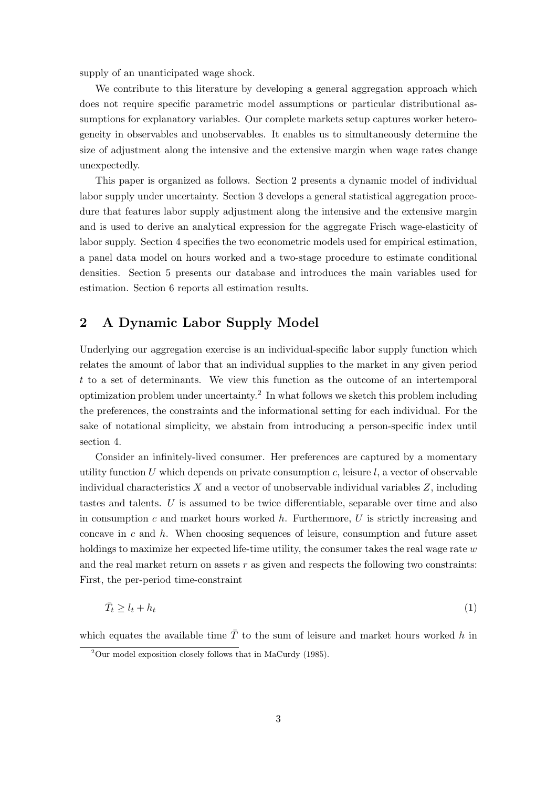supply of an unanticipated wage shock.

We contribute to this literature by developing a general aggregation approach which does not require specific parametric model assumptions or particular distributional assumptions for explanatory variables. Our complete markets setup captures worker heterogeneity in observables and unobservables. It enables us to simultaneously determine the size of adjustment along the intensive and the extensive margin when wage rates change unexpectedly.

This paper is organized as follows. Section 2 presents a dynamic model of individual labor supply under uncertainty. Section 3 develops a general statistical aggregation procedure that features labor supply adjustment along the intensive and the extensive margin and is used to derive an analytical expression for the aggregate Frisch wage-elasticity of labor supply. Section 4 specifies the two econometric models used for empirical estimation, a panel data model on hours worked and a two-stage procedure to estimate conditional densities. Section 5 presents our database and introduces the main variables used for estimation. Section 6 reports all estimation results.

## 2 A Dynamic Labor Supply Model

Underlying our aggregation exercise is an individual-specific labor supply function which relates the amount of labor that an individual supplies to the market in any given period t to a set of determinants. We view this function as the outcome of an intertemporal optimization problem under uncertainty.<sup>2</sup> In what follows we sketch this problem including the preferences, the constraints and the informational setting for each individual. For the sake of notational simplicity, we abstain from introducing a person-specific index until section 4.

Consider an infinitely-lived consumer. Her preferences are captured by a momentary utility function U which depends on private consumption c, leisure  $l$ , a vector of observable individual characteristics  $X$  and a vector of unobservable individual variables  $Z$ , including tastes and talents. U is assumed to be twice differentiable, separable over time and also in consumption c and market hours worked  $h$ . Furthermore, U is strictly increasing and concave in c and  $h$ . When choosing sequences of leisure, consumption and future asset holdings to maximize her expected life-time utility, the consumer takes the real wage rate  $w$ and the real market return on assets  $r$  as given and respects the following two constraints: First, the per-period time-constraint

$$
\bar{T}_t \ge l_t + h_t \tag{1}
$$

which equates the available time  $\overline{T}$  to the sum of leisure and market hours worked h in

 $2^2$ Our model exposition closely follows that in MaCurdy (1985).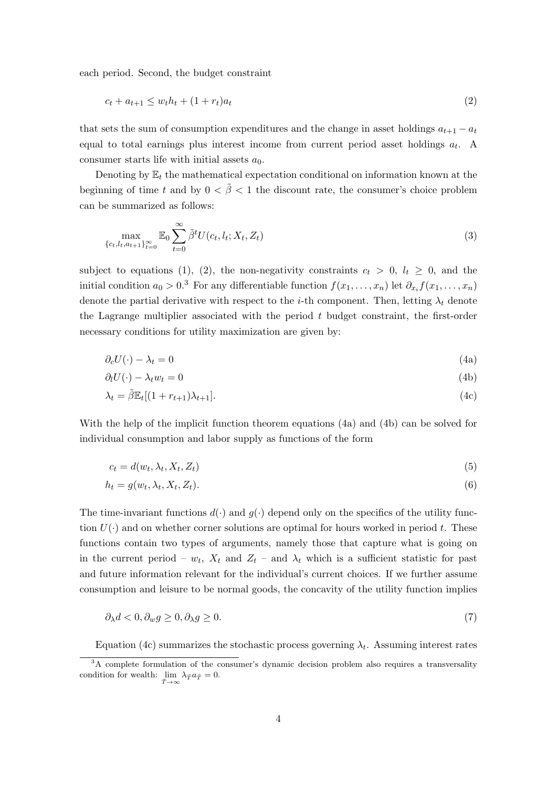each period. Second, the budget constraint

$$
c_t + a_{t+1} \le w_t h_t + (1 + r_t) a_t \tag{2}
$$

that sets the sum of consumption expenditures and the change in asset holdings  $a_{t+1} - a_t$ equal to total earnings plus interest income from current period asset holdings  $a_t$ . A consumer starts life with initial assets  $a_0$ .

Denoting by  $\mathbb{E}_t$  the mathematical expectation conditional on information known at the beginning of time t and by  $0 < \tilde{\beta} < 1$  the discount rate, the consumer's choice problem can be summarized as follows:

$$
\max_{\{c_t, l_t, a_{t+1}\}_{t=0}^{\infty}} \mathbb{E}_0 \sum_{t=0}^{\infty} \tilde{\beta}^t U(c_t, l_t; X_t, Z_t)
$$
\n(3)

subject to equations (1), (2), the non-negativity constraints  $c_t > 0$ ,  $l_t \geq 0$ , and the initial condition  $a_0 > 0.3$  For any differentiable function  $f(x_1, \ldots, x_n)$  let  $\partial_{x_i} f(x_1, \ldots, x_n)$ denote the partial derivative with respect to the *i*-th component. Then, letting  $\lambda_t$  denote the Lagrange multiplier associated with the period  $t$  budget constraint, the first-order necessary conditions for utility maximization are given by:

$$
\partial_c U(\cdot) - \lambda_t = 0 \tag{4a}
$$

$$
\partial_l U(\cdot) - \lambda_t w_t = 0 \tag{4b}
$$

$$
\lambda_t = \tilde{\beta} \mathbb{E}_t[(1 + r_{t+1})\lambda_{t+1}].\tag{4c}
$$

With the help of the implicit function theorem equations (4a) and (4b) can be solved for individual consumption and labor supply as functions of the form

$$
c_t = d(w_t, \lambda_t, X_t, Z_t) \tag{5}
$$

$$
h_t = g(w_t, \lambda_t, X_t, Z_t). \tag{6}
$$

The time-invariant functions  $d(\cdot)$  and  $g(\cdot)$  depend only on the specifics of the utility function  $U(\cdot)$  and on whether corner solutions are optimal for hours worked in period t. These functions contain two types of arguments, namely those that capture what is going on in the current period –  $w_t$ ,  $X_t$  and  $Z_t$  – and  $\lambda_t$  which is a sufficient statistic for past and future information relevant for the individual's current choices. If we further assume consumption and leisure to be normal goods, the concavity of the utility function implies

$$
\partial_{\lambda}d < 0, \partial_{w}g \ge 0, \partial_{\lambda}g \ge 0. \tag{7}
$$

Equation (4c) summarizes the stochastic process governing  $\lambda_t$ . Assuming interest rates

<sup>&</sup>lt;sup>3</sup>A complete formulation of the consumer's dynamic decision problem also requires a transversality condition for wealth:  $\lim_{\tilde{T}\to\infty} \lambda_{\tilde{T}} a_{\tilde{T}} = 0.$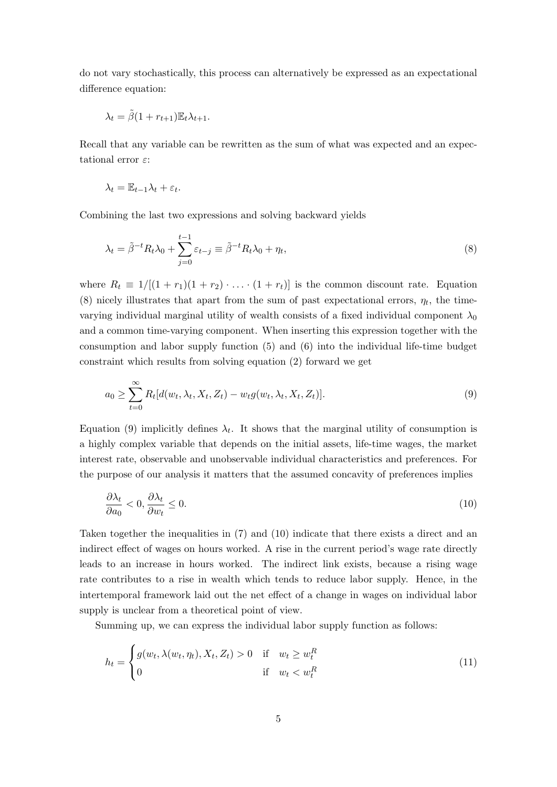do not vary stochastically, this process can alternatively be expressed as an expectational difference equation:

$$
\lambda_t = \tilde{\beta}(1 + r_{t+1}) \mathbb{E}_t \lambda_{t+1}.
$$

Recall that any variable can be rewritten as the sum of what was expected and an expectational error  $\varepsilon$ :

$$
\lambda_t = \mathbb{E}_{t-1}\lambda_t + \varepsilon_t.
$$

Combining the last two expressions and solving backward yields

$$
\lambda_t = \tilde{\beta}^{-t} R_t \lambda_0 + \sum_{j=0}^{t-1} \varepsilon_{t-j} \equiv \tilde{\beta}^{-t} R_t \lambda_0 + \eta_t,
$$
\n(8)

where  $R_t \equiv 1/[(1 + r_1)(1 + r_2) \cdot \ldots \cdot (1 + r_t)]$  is the common discount rate. Equation (8) nicely illustrates that apart from the sum of past expectational errors,  $\eta_t$ , the timevarying individual marginal utility of wealth consists of a fixed individual component  $\lambda_0$ and a common time-varying component. When inserting this expression together with the consumption and labor supply function (5) and (6) into the individual life-time budget constraint which results from solving equation (2) forward we get

$$
a_0 \geq \sum_{t=0}^{\infty} R_t[d(w_t, \lambda_t, X_t, Z_t) - w_t g(w_t, \lambda_t, X_t, Z_t)].
$$
\n(9)

Equation (9) implicitly defines  $\lambda_t$ . It shows that the marginal utility of consumption is a highly complex variable that depends on the initial assets, life-time wages, the market interest rate, observable and unobservable individual characteristics and preferences. For the purpose of our analysis it matters that the assumed concavity of preferences implies

$$
\frac{\partial \lambda_t}{\partial a_0} < 0, \frac{\partial \lambda_t}{\partial w_t} \le 0. \tag{10}
$$

Taken together the inequalities in (7) and (10) indicate that there exists a direct and an indirect effect of wages on hours worked. A rise in the current period's wage rate directly leads to an increase in hours worked. The indirect link exists, because a rising wage rate contributes to a rise in wealth which tends to reduce labor supply. Hence, in the intertemporal framework laid out the net effect of a change in wages on individual labor supply is unclear from a theoretical point of view.

Summing up, we can express the individual labor supply function as follows:

$$
h_t = \begin{cases} g(w_t, \lambda(w_t, \eta_t), X_t, Z_t) > 0 & \text{if} \quad w_t \ge w_t^R \\ 0 & \text{if} \quad w_t < w_t^R \end{cases}
$$
(11)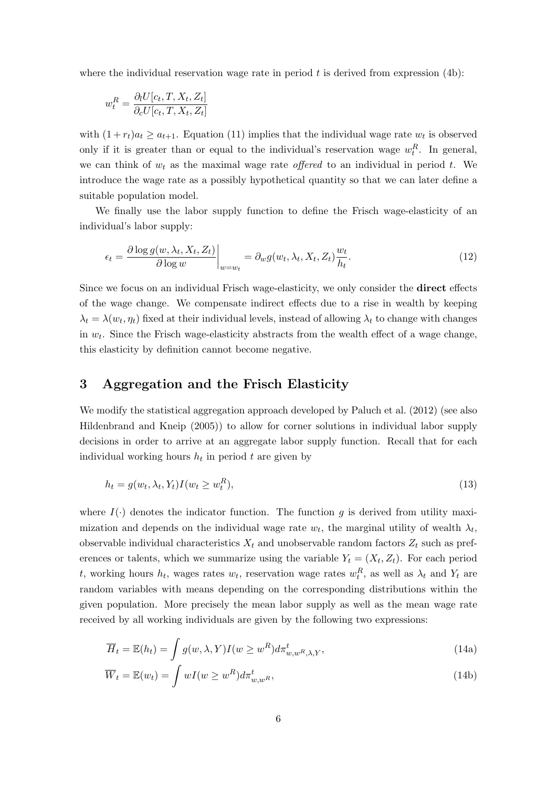where the individual reservation wage rate in period  $t$  is derived from expression (4b):

$$
w_t^R = \frac{\partial_l U[c_t, T, X_t, Z_t]}{\partial_c U[c_t, T, X_t, Z_t]}
$$

with  $(1 + r_t)a_t \ge a_{t+1}$ . Equation (11) implies that the individual wage rate  $w_t$  is observed only if it is greater than or equal to the individual's reservation wage  $w_t^R$ . In general, we can think of  $w_t$  as the maximal wage rate *offered* to an individual in period t. We introduce the wage rate as a possibly hypothetical quantity so that we can later define a suitable population model.

We finally use the labor supply function to define the Frisch wage-elasticity of an individual's labor supply:

$$
\epsilon_t = \frac{\partial \log g(w, \lambda_t, X_t, Z_t)}{\partial \log w}\bigg|_{w=w_t} = \partial_w g(w_t, \lambda_t, X_t, Z_t) \frac{w_t}{h_t}.\tag{12}
$$

Since we focus on an individual Frisch wage-elasticity, we only consider the direct effects of the wage change. We compensate indirect effects due to a rise in wealth by keeping  $\lambda_t = \lambda(w_t, \eta_t)$  fixed at their individual levels, instead of allowing  $\lambda_t$  to change with changes in  $w_t$ . Since the Frisch wage-elasticity abstracts from the wealth effect of a wage change, this elasticity by definition cannot become negative.

## 3 Aggregation and the Frisch Elasticity

We modify the statistical aggregation approach developed by Paluch et al. (2012) (see also Hildenbrand and Kneip (2005)) to allow for corner solutions in individual labor supply decisions in order to arrive at an aggregate labor supply function. Recall that for each individual working hours  $h_t$  in period  $t$  are given by

$$
h_t = g(w_t, \lambda_t, Y_t) I(w_t \ge w_t^R), \tag{13}
$$

where  $I(\cdot)$  denotes the indicator function. The function g is derived from utility maximization and depends on the individual wage rate  $w_t$ , the marginal utility of wealth  $\lambda_t$ , observable individual characteristics  $X_t$  and unobservable random factors  $Z_t$  such as preferences or talents, which we summarize using the variable  $Y_t = (X_t, Z_t)$ . For each period t, working hours  $h_t$ , wages rates  $w_t$ , reservation wage rates  $w_t^R$ , as well as  $\lambda_t$  and  $Y_t$  are random variables with means depending on the corresponding distributions within the given population. More precisely the mean labor supply as well as the mean wage rate received by all working individuals are given by the following two expressions:

$$
\overline{H}_t = \mathbb{E}(h_t) = \int g(w, \lambda, Y) I(w \ge w^R) d\pi_{w, w^R, \lambda, Y}^t,
$$
\n(14a)

$$
\overline{W}_t = \mathbb{E}(w_t) = \int wI(w \ge w^R) d\pi_{w,w^R}^t,
$$
\n(14b)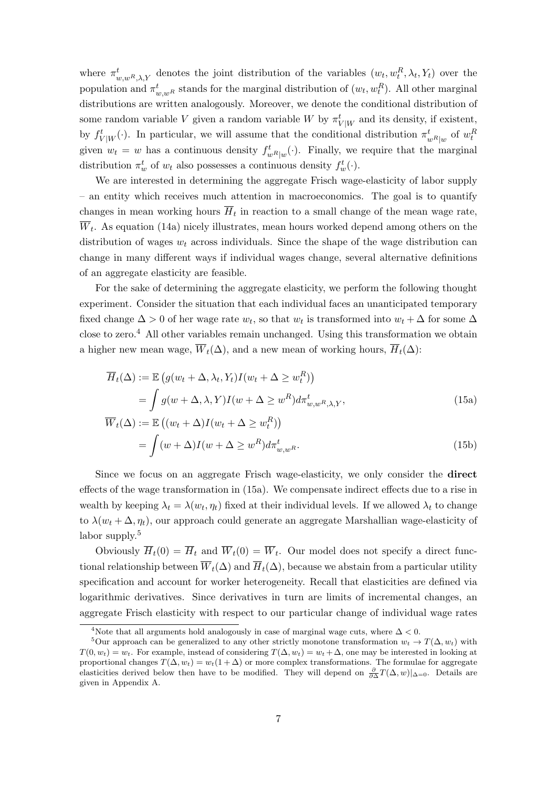where  $\pi_{w,wR,\lambda,Y}^t$  denotes the joint distribution of the variables  $(w_t, w_t^R, \lambda_t, Y_t)$  over the population and  $\pi_{w,wR}^t$  stands for the marginal distribution of  $(w_t, w_t^R)$ . All other marginal distributions are written analogously. Moreover, we denote the conditional distribution of some random variable V given a random variable W by  $\pi^t_{V|W}$  and its density, if existent, by  $f^t_{V|W}(\cdot)$ . In particular, we will assume that the conditional distribution  $\pi_{wR|w}^t$  of  $w_t^R$ given  $w_t = w$  has a continuous density  $f^t_{w^R|w}(\cdot)$ . Finally, we require that the marginal distribution  $\pi_w^t$  of  $w_t$  also possesses a continuous density  $f_w^t(\cdot)$ .

We are interested in determining the aggregate Frisch wage-elasticity of labor supply – an entity which receives much attention in macroeconomics. The goal is to quantify changes in mean working hours  $H_t$  in reaction to a small change of the mean wage rate,  $W_t$ . As equation (14a) nicely illustrates, mean hours worked depend among others on the distribution of wages  $w_t$  across individuals. Since the shape of the wage distribution can change in many different ways if individual wages change, several alternative definitions of an aggregate elasticity are feasible.

For the sake of determining the aggregate elasticity, we perform the following thought experiment. Consider the situation that each individual faces an unanticipated temporary fixed change  $\Delta > 0$  of her wage rate  $w_t$ , so that  $w_t$  is transformed into  $w_t + \Delta$  for some  $\Delta$ close to zero.<sup>4</sup> All other variables remain unchanged. Using this transformation we obtain a higher new mean wage,  $\overline{W}_t(\Delta)$ , and a new mean of working hours,  $\overline{H}_t(\Delta)$ :

$$
\overline{H}_t(\Delta) := \mathbb{E}\left(g(w_t + \Delta, \lambda_t, Y_t)I(w_t + \Delta \ge w_t^R)\right)
$$
\n
$$
= \int g(w + \Delta, \lambda, Y)I(w + \Delta \ge w^R)d\pi_{w,w^R,\lambda,Y}^t,
$$
\n
$$
\overline{W}_t(\Delta) := \mathbb{E}\left((w_t + \Delta)I(w_t + \Delta \ge w^R)\right)
$$
\n(15a)

$$
\overline{W}_t(\Delta) := \mathbb{E}\left( (w_t + \Delta)I(w_t + \Delta \ge w_t^R) \right)
$$
\n
$$
= \int (w + \Delta)I(w + \Delta \ge w^R) d\pi_{w,w^R}^t.
$$
\n(15b)

Since we focus on an aggregate Frisch wage-elasticity, we only consider the direct effects of the wage transformation in (15a). We compensate indirect effects due to a rise in wealth by keeping  $\lambda_t = \lambda(w_t, \eta_t)$  fixed at their individual levels. If we allowed  $\lambda_t$  to change to  $\lambda(w_t + \Delta, \eta_t)$ , our approach could generate an aggregate Marshallian wage-elasticity of labor supply.<sup>5</sup>

Obviously  $\overline{H}_t(0) = \overline{H}_t$  and  $\overline{W}_t(0) = \overline{W}_t$ . Our model does not specify a direct functional relationship between  $\overline{W}_t(\Delta)$  and  $\overline{H}_t(\Delta)$ , because we abstain from a particular utility specification and account for worker heterogeneity. Recall that elasticities are defined via logarithmic derivatives. Since derivatives in turn are limits of incremental changes, an aggregate Frisch elasticity with respect to our particular change of individual wage rates

<sup>&</sup>lt;sup>4</sup>Note that all arguments hold analogously in case of marginal wage cuts, where  $\Delta < 0$ .

<sup>&</sup>lt;sup>5</sup>Our approach can be generalized to any other strictly monotone transformation  $w_t \to T(\Delta, w_t)$  with  $T(0, w_t) = w_t$ . For example, instead of considering  $T(\Delta, w_t) = w_t + \Delta$ , one may be interested in looking at proportional changes  $T(\Delta, w_t) = w_t(1 + \Delta)$  or more complex transformations. The formulae for aggregate elasticities derived below then have to be modified. They will depend on  $\frac{\partial}{\partial \Delta}T(\Delta, w)|_{\Delta=0}$ . Details are given in Appendix A.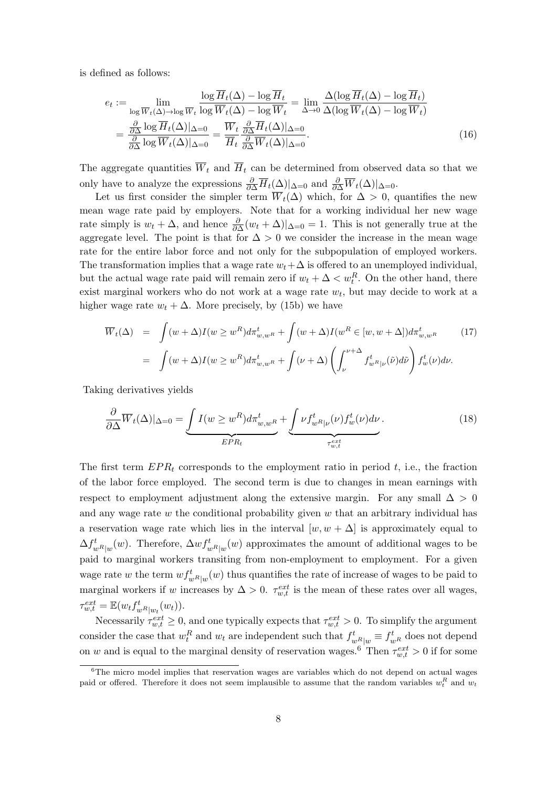is defined as follows:

$$
e_{t} := \lim_{\log \overline{W}_{t}(\Delta) \to \log \overline{W}_{t}} \frac{\log \overline{H}_{t}(\Delta) - \log \overline{H}_{t}}{\log \overline{W}_{t}(\Delta) - \log \overline{W}_{t}} = \lim_{\Delta \to 0} \frac{\Delta(\log \overline{H}_{t}(\Delta) - \log \overline{H}_{t})}{\Delta(\log \overline{W}_{t}(\Delta) - \log \overline{W}_{t})}
$$

$$
= \frac{\frac{\partial}{\partial \Delta} \log \overline{H}_{t}(\Delta)|_{\Delta=0}}{\frac{\partial}{\partial \Delta} \log \overline{W}_{t}(\Delta)|_{\Delta=0}} = \frac{\overline{W}_{t}}{\overline{H}_{t}} \frac{\frac{\partial}{\partial \Delta} \overline{H}_{t}(\Delta)|_{\Delta=0}}{\frac{\partial}{\partial \Delta} \overline{W}_{t}(\Delta)|_{\Delta=0}}.
$$
(16)

The aggregate quantities  $\overline{W}_t$  and  $\overline{H}_t$  can be determined from observed data so that we only have to analyze the expressions  $\frac{\partial}{\partial \Delta} \overline{H}_t(\Delta)|_{\Delta=0}$  and  $\frac{\partial}{\partial \Delta} \overline{W}_t(\Delta)|_{\Delta=0}$ .

Let us first consider the simpler term  $\overline{W}_t(\Delta)$  which, for  $\Delta > 0$ , quantifies the new mean wage rate paid by employers. Note that for a working individual her new wage rate simply is  $w_t + \Delta$ , and hence  $\frac{\partial}{\partial \Delta}(w_t + \Delta)|_{\Delta=0} = 1$ . This is not generally true at the aggregate level. The point is that for  $\Delta > 0$  we consider the increase in the mean wage rate for the entire labor force and not only for the subpopulation of employed workers. The transformation implies that a wage rate  $w_t+\Delta$  is offered to an unemployed individual, but the actual wage rate paid will remain zero if  $w_t + \Delta < w_t^R$ . On the other hand, there exist marginal workers who do not work at a wage rate  $w_t$ , but may decide to work at a higher wage rate  $w_t + \Delta$ . More precisely, by (15b) we have

$$
\overline{W}_t(\Delta) = \int (w + \Delta) I(w \ge w^R) d\pi_{w,w^R}^t + \int (w + \Delta) I(w^R \in [w, w + \Delta]) d\pi_{w,w^R}^t \qquad (17)
$$
\n
$$
= \int (w + \Delta) I(w \ge w^R) d\pi_{w,w^R}^t + \int (\nu + \Delta) \left( \int_{\nu}^{\nu + \Delta} f_{w^R|\nu}^t(\tilde{\nu}) d\tilde{\nu} \right) f_w^t(\nu) d\nu.
$$

Taking derivatives yields

$$
\frac{\partial}{\partial \Delta} \overline{W}_t(\Delta)|_{\Delta=0} = \underbrace{\int I(w \ge w^R) d\pi_{w,w^R}^t}_{EPR_t} + \underbrace{\int \nu f_{w^R|\nu}^t(\nu) f_w^t(\nu) d\nu}_{\tau_{w,t}^{ext}}.
$$
\n(18)

The first term  $EPR_t$  corresponds to the employment ratio in period t, i.e., the fraction of the labor force employed. The second term is due to changes in mean earnings with respect to employment adjustment along the extensive margin. For any small  $\Delta > 0$ and any wage rate w the conditional probability given w that an arbitrary individual has a reservation wage rate which lies in the interval  $[w, w + \Delta]$  is approximately equal to  $\Delta f_{wR|w}^t(w)$ . Therefore,  $\Delta wf_{wR|w}^t(w)$  approximates the amount of additional wages to be paid to marginal workers transiting from non-employment to employment. For a given wage rate w the term  $wf_{wR|w}^t(w)$  thus quantifies the rate of increase of wages to be paid to marginal workers if w increases by  $\Delta > 0$ .  $\tau_{w,t}^{ext}$  is the mean of these rates over all wages,  $\tau_{w,t}^{ext} = \mathbb{E}(w_t f_{wR|w_t}^t(w_t)).$ 

Necessarily  $\tau_{w,t}^{ext} \geq 0$ , and one typically expects that  $\tau_{w,t}^{ext} > 0$ . To simplify the argument consider the case that  $w_t^R$  and  $w_t$  are independent such that  $f_{w_R|w}^t \equiv f_{w_R}^t$  does not depend on w and is equal to the marginal density of reservation wages.<sup>6</sup> Then  $\tau_{w,t}^{ext} > 0$  if for some

 $6$ The micro model implies that reservation wages are variables which do not depend on actual wages paid or offered. Therefore it does not seem implausible to assume that the random variables  $w_t^R$  and  $w_t$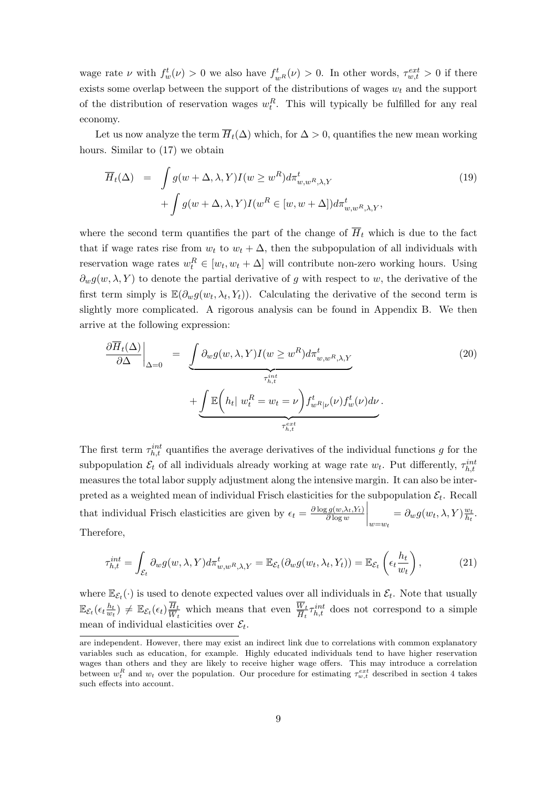wage rate  $\nu$  with  $f_w^t(\nu) > 0$  we also have  $f_{wR}^t(\nu) > 0$ . In other words,  $\tau_{w,t}^{ext} > 0$  if there exists some overlap between the support of the distributions of wages  $w_t$  and the support of the distribution of reservation wages  $w_t^R$ . This will typically be fulfilled for any real economy.

Let us now analyze the term  $\overline{H}_t(\Delta)$  which, for  $\Delta > 0$ , quantifies the new mean working hours. Similar to (17) we obtain

$$
\overline{H}_t(\Delta) = \int g(w + \Delta, \lambda, Y) I(w \ge w^R) d\pi_{w,w^R, \lambda, Y}^t
$$
\n
$$
+ \int g(w + \Delta, \lambda, Y) I(w^R \in [w, w + \Delta]) d\pi_{w,w^R, \lambda, Y}^t,
$$
\n(19)

where the second term quantifies the part of the change of  $\overline{H}_t$  which is due to the fact that if wage rates rise from  $w_t$  to  $w_t + \Delta$ , then the subpopulation of all individuals with reservation wage rates  $w_t^R \in [w_t, w_t + \Delta]$  will contribute non-zero working hours. Using  $\partial_w g(w, \lambda, Y)$  to denote the partial derivative of g with respect to w, the derivative of the first term simply is  $\mathbb{E}(\partial_w g(w_t, \lambda_t, Y_t))$ . Calculating the derivative of the second term is slightly more complicated. A rigorous analysis can be found in Appendix B. We then arrive at the following expression:

$$
\frac{\partial \overline{H}_t(\Delta)}{\partial \Delta} \Big|_{\Delta=0} = \underbrace{\int \partial_w g(w, \lambda, Y) I(w \ge w^R) d\pi_{w,w^R, \lambda, Y}^t}_{\tau_{h,t}^{int}} + \underbrace{\int \mathbb{E} \left( h_t | w_t^R = w_t = \nu \right) f_{w^R|\nu}^t(\nu) f_w^t(\nu) d\nu}_{\tau_{h,t}^{ext}}.
$$
\n(20)

The first term  $\tau_{h,t}^{int}$  quantifies the average derivatives of the individual functions g for the subpopulation  $\mathcal{E}_t$  of all individuals already working at wage rate  $w_t$ . Put differently,  $\tau_{h,t}^{int}$ measures the total labor supply adjustment along the intensive margin. It can also be interpreted as a weighted mean of individual Frisch elasticities for the subpopulation  $\mathcal{E}_t$ . Recall that individual Frisch elasticities are given by  $\epsilon_t = \frac{\partial \log g(w, \lambda_t, Y_t)}{\partial \log w}$  $\partial \log w$  $\Big\vert_{w=w_t}$  $=\partial_w g(w_t, \lambda, Y) \frac{w_t}{h_t}$  $\frac{w_t}{h_t}$ . Therefore,

$$
\tau_{h,t}^{int} = \int_{\mathcal{E}_t} \partial_w g(w, \lambda, Y) d\pi_{w,w}^t R_{,\lambda,Y} = \mathbb{E}_{\mathcal{E}_t} (\partial_w g(w_t, \lambda_t, Y_t)) = \mathbb{E}_{\mathcal{E}_t} \left( \epsilon_t \frac{h_t}{w_t} \right), \tag{21}
$$

where  $\mathbb{E}_{\mathcal{E}_t}(\cdot)$  is used to denote expected values over all individuals in  $\mathcal{E}_t$ . Note that usually  $\mathbb{E}_{\mathcal{E}_t}(\epsilon_t \frac{h_t}{w_t}$  $\frac{h_t}{w_t})\,\neq\,\mathbb{E}_{\mathcal{E}_t}(\epsilon_t)\frac{\overline{H}_t}{\overline{W}_t}$  $\frac{H_t}{W_t}$  which means that even  $\frac{W_t}{H_t} \tau_{h,t}^{int}$  does not correspond to a simple mean of individual elasticities over  $\mathcal{E}_t$ .

are independent. However, there may exist an indirect link due to correlations with common explanatory variables such as education, for example. Highly educated individuals tend to have higher reservation wages than others and they are likely to receive higher wage offers. This may introduce a correlation between  $w_t^R$  and  $w_t$  over the population. Our procedure for estimating  $\tau_{w,t}^{ext}$  described in section 4 takes such effects into account.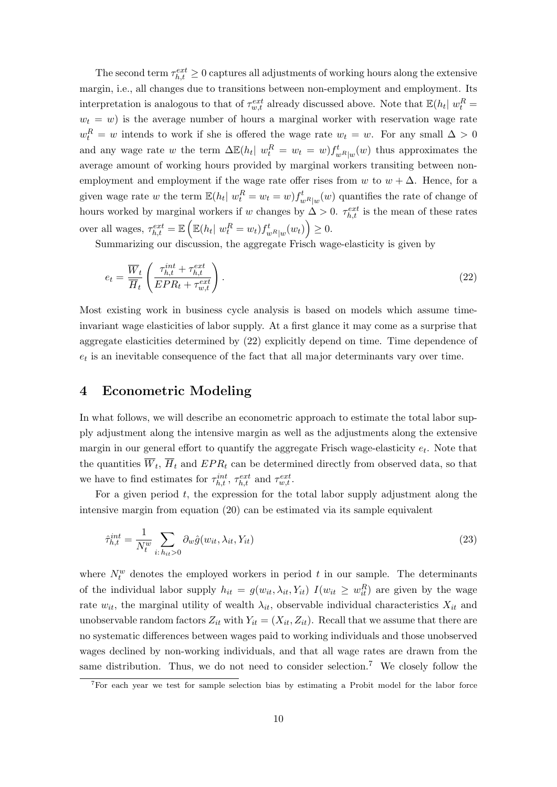The second term  $\tau_{h,t}^{ext} \geq 0$  captures all adjustments of working hours along the extensive margin, i.e., all changes due to transitions between non-employment and employment. Its interpretation is analogous to that of  $\tau_{w,t}^{ext}$  already discussed above. Note that  $\mathbb{E}(h_t | w_t^R =$  $w_t = w$ ) is the average number of hours a marginal worker with reservation wage rate  $w_t^R = w$  intends to work if she is offered the wage rate  $w_t = w$ . For any small  $\Delta > 0$ and any wage rate w the term  $\Delta \mathbb{E}(h_t | w_t^R = w_t = w) f_{w_R|w}^t(w)$  thus approximates the average amount of working hours provided by marginal workers transiting between nonemployment and employment if the wage rate offer rises from w to  $w + \Delta$ . Hence, for a given wage rate w the term  $\mathbb{E}(h_t | w_t^R = w_t = w) f_{w^R|w}^t(w)$  quantifies the rate of change of hours worked by marginal workers if w changes by  $\Delta > 0$ .  $\tau_{h,t}^{ext}$  is the mean of these rates over all wages,  $\tau_{h,t}^{ext} = \mathbb{E}\left(\mathbb{E}(h_t | w_t^R = w_t) f_{w^R|w}^t(w_t)\right) \geq 0.$ 

Summarizing our discussion, the aggregate Frisch wage-elasticity is given by

$$
e_t = \frac{\overline{W}_t}{\overline{H}_t} \left( \frac{\tau_{h,t}^{int} + \tau_{h,t}^{ext}}{EPR_t + \tau_{w,t}^{ext}} \right).
$$
\n(22)

Most existing work in business cycle analysis is based on models which assume timeinvariant wage elasticities of labor supply. At a first glance it may come as a surprise that aggregate elasticities determined by (22) explicitly depend on time. Time dependence of  $e_t$  is an inevitable consequence of the fact that all major determinants vary over time.

### 4 Econometric Modeling

In what follows, we will describe an econometric approach to estimate the total labor supply adjustment along the intensive margin as well as the adjustments along the extensive margin in our general effort to quantify the aggregate Frisch wage-elasticity  $e_t$ . Note that the quantities  $W_t$ ,  $H_t$  and  $EPR_t$  can be determined directly from observed data, so that we have to find estimates for  $\tau_{h,t}^{int}$ ,  $\tau_{h,t}^{ext}$  and  $\tau_{w,t}^{ext}$ .

For a given period  $t$ , the expression for the total labor supply adjustment along the intensive margin from equation (20) can be estimated via its sample equivalent

$$
\hat{\tau}_{h,t}^{int} = \frac{1}{N_t^w} \sum_{i: h_{it} > 0} \partial_w \hat{g}(w_{it}, \lambda_{it}, Y_{it})
$$
\n(23)

where  $N_t^w$  denotes the employed workers in period t in our sample. The determinants of the individual labor supply  $h_{it} = g(w_{it}, \lambda_{it}, Y_{it})$   $I(w_{it} \geq w_{it}^R)$  are given by the wage rate  $w_{it}$ , the marginal utility of wealth  $\lambda_{it}$ , observable individual characteristics  $X_{it}$  and unobservable random factors  $Z_{it}$  with  $Y_{it} = (X_{it}, Z_{it})$ . Recall that we assume that there are no systematic differences between wages paid to working individuals and those unobserved wages declined by non-working individuals, and that all wage rates are drawn from the same distribution. Thus, we do not need to consider selection.<sup>7</sup> We closely follow the

<sup>7</sup>For each year we test for sample selection bias by estimating a Probit model for the labor force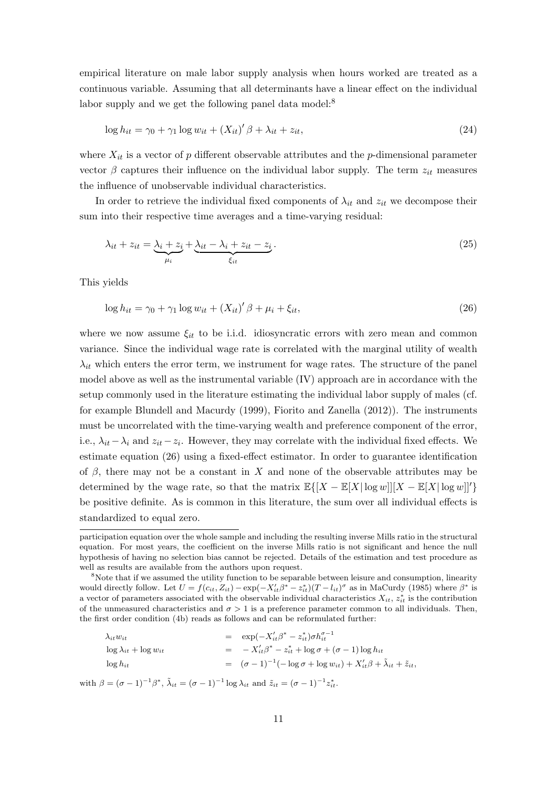empirical literature on male labor supply analysis when hours worked are treated as a continuous variable. Assuming that all determinants have a linear effect on the individual labor supply and we get the following panel data model:<sup>8</sup>

$$
\log h_{it} = \gamma_0 + \gamma_1 \log w_{it} + (X_{it})' \beta + \lambda_{it} + z_{it},\tag{24}
$$

where  $X_{it}$  is a vector of p different observable attributes and the p-dimensional parameter vector  $\beta$  captures their influence on the individual labor supply. The term  $z_{it}$  measures the influence of unobservable individual characteristics.

In order to retrieve the individual fixed components of  $\lambda_{it}$  and  $z_{it}$  we decompose their sum into their respective time averages and a time-varying residual:

$$
\lambda_{it} + z_{it} = \underbrace{\lambda_i + z_i}_{\mu_i} + \underbrace{\lambda_{it} - \lambda_i + z_{it} - z_i}_{\xi_{it}}.
$$
\n
$$
(25)
$$

This yields

$$
\log h_{it} = \gamma_0 + \gamma_1 \log w_{it} + (X_{it})' \beta + \mu_i + \xi_{it},\tag{26}
$$

where we now assume  $\xi_{it}$  to be i.i.d. idiosyncratic errors with zero mean and common variance. Since the individual wage rate is correlated with the marginal utility of wealth  $\lambda_{it}$  which enters the error term, we instrument for wage rates. The structure of the panel model above as well as the instrumental variable (IV) approach are in accordance with the setup commonly used in the literature estimating the individual labor supply of males (cf. for example Blundell and Macurdy (1999), Fiorito and Zanella (2012)). The instruments must be uncorrelated with the time-varying wealth and preference component of the error, i.e.,  $\lambda_{it} - \lambda_i$  and  $z_{it} - z_i$ . However, they may correlate with the individual fixed effects. We estimate equation (26) using a fixed-effect estimator. In order to guarantee identification of  $\beta$ , there may not be a constant in X and none of the observable attributes may be determined by the wage rate, so that the matrix  $\mathbb{E}\left\{[X - \mathbb{E}[X] \log w] | [X - \mathbb{E}[X] \log w] \right\}$ be positive definite. As is common in this literature, the sum over all individual effects is standardized to equal zero.

<sup>&</sup>lt;sup>8</sup>Note that if we assumed the utility function to be separable between leisure and consumption, linearity would directly follow. Let  $U = f(c_{it}, Z_{it}) - \exp(-X'_{it}\beta^* - z_{it}^*)(T - l_{it})^{\sigma}$  as in MaCurdy (1985) where  $\beta^*$  is a vector of parameters associated with the observable individual characteristics  $X_{it}$ ,  $z_{it}^*$  is the contribution of the unmeasured characteristics and  $\sigma > 1$  is a preference parameter common to all individuals. Then, the first order condition (4b) reads as follows and can be reformulated further:

| $\lambda_{it}w_{it}$              | $=\exp(-X_{it}'\beta^* - z_{it}^*)\sigma h_{it}^{\sigma-1}$                                               |
|-----------------------------------|-----------------------------------------------------------------------------------------------------------|
| $\log \lambda_{it} + \log w_{it}$ | $=$ $-X'_{it}\beta^* - z_{it}^* + \log \sigma + (\sigma - 1) \log h_{it}$                                 |
| $\log h_{it}$                     | $= (\sigma - 1)^{-1}(-\log \sigma + \log w_{it}) + X'_{it}\beta + \tilde{\lambda}_{it} + \tilde{z}_{it},$ |
|                                   |                                                                                                           |

with  $\beta = (\sigma - 1)^{-1} \beta^*$ ,  $\tilde{\lambda}_{it} = (\sigma - 1)^{-1} \log \lambda_{it}$  and  $\tilde{z}_{it} = (\sigma - 1)^{-1} z_{it}^*$ .

participation equation over the whole sample and including the resulting inverse Mills ratio in the structural equation. For most years, the coefficient on the inverse Mills ratio is not significant and hence the null hypothesis of having no selection bias cannot be rejected. Details of the estimation and test procedure as well as results are available from the authors upon request.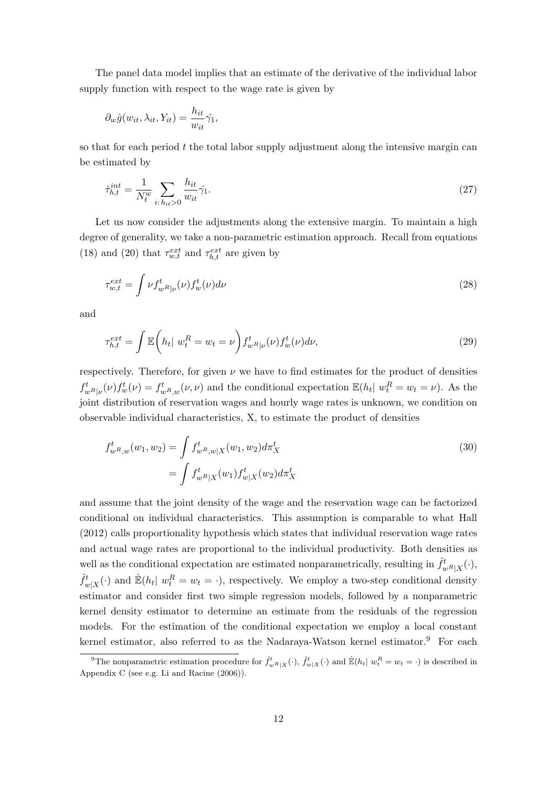The panel data model implies that an estimate of the derivative of the individual labor supply function with respect to the wage rate is given by

$$
\partial_w \hat{g}(w_{it}, \lambda_{it}, Y_{it}) = \frac{h_{it}}{w_{it}} \hat{\gamma}_1,
$$

so that for each period  $t$  the total labor supply adjustment along the intensive margin can be estimated by

$$
\hat{\tau}_{h,t}^{int} = \frac{1}{N_t^w} \sum_{i:\,h_{it}>0} \frac{h_{it}}{w_{it}} \hat{\gamma}_1. \tag{27}
$$

Let us now consider the adjustments along the extensive margin. To maintain a high degree of generality, we take a non-parametric estimation approach. Recall from equations (18) and (20) that  $\tau_{w,t}^{ext}$  and  $\tau_{h,t}^{ext}$  are given by

$$
\tau_{w,t}^{ext} = \int \nu f_{w}^t(\nu) f_w^t(\nu) d\nu \tag{28}
$$

and

$$
\tau_{h,t}^{ext} = \int \mathbb{E}\left(h_t \mid w_t^R = w_t = \nu\right) f_{w^R|\nu}^t(\nu) f_w^t(\nu) d\nu,
$$
\n(29)

respectively. Therefore, for given  $\nu$  we have to find estimates for the product of densities  $f_{wR}^t(\nu) f_w^t(\nu) = f_{wR,w}^t(\nu, \nu)$  and the conditional expectation  $\mathbb{E}(h_t | w_t^R = w_t = \nu)$ . As the joint distribution of reservation wages and hourly wage rates is unknown, we condition on observable individual characteristics, X, to estimate the product of densities

$$
f_{w^R,w}^t(w_1, w_2) = \int f_{w^R,w|X}^t(w_1, w_2) d\pi_X^t
$$
  
= 
$$
\int f_{w^R|X}^t(w_1) f_{w|X}^t(w_2) d\pi_X^t
$$
 (30)

and assume that the joint density of the wage and the reservation wage can be factorized conditional on individual characteristics. This assumption is comparable to what Hall (2012) calls proportionality hypothesis which states that individual reservation wage rates and actual wage rates are proportional to the individual productivity. Both densities as well as the conditional expectation are estimated nonparametrically, resulting in  $\hat{f}^t_{w^R|X}(\cdot)$ ,  $\hat{f}^t_{w|X}(\cdot)$  and  $\mathbb{E}(h_t | w_t^R = w_t = \cdot)$ , respectively. We employ a two-step conditional density estimator and consider first two simple regression models, followed by a nonparametric kernel density estimator to determine an estimate from the residuals of the regression models. For the estimation of the conditional expectation we employ a local constant kernel estimator, also referred to as the Nadaraya-Watson kernel estimator.<sup>9</sup> For each

<sup>&</sup>lt;sup>9</sup>The nonparametric estimation procedure for  $\hat{f}_{wR|X}^t(\cdot)$ ,  $\hat{f}_{w|X}^t(\cdot)$  and  $\mathbb{E}(h_t | w_t^R = w_t = \cdot)$  is described in Appendix C (see e.g. Li and Racine (2006)).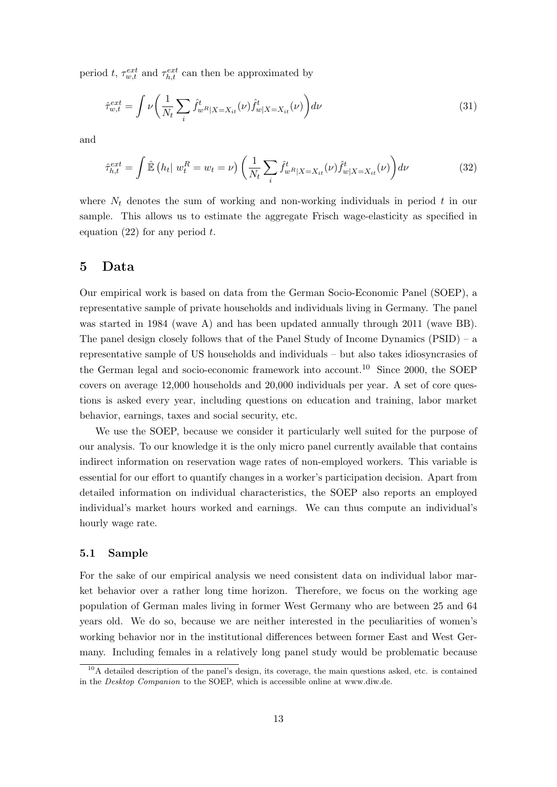period t,  $\tau_{w,t}^{ext}$  and  $\tau_{h,t}^{ext}$  can then be approximated by

$$
\hat{\tau}_{w,t}^{ext} = \int \nu \left( \frac{1}{N_t} \sum_i \hat{f}_{w}^t \mathbf{1}_{|X=X_{it}}(\nu) \hat{f}_{w|X=X_{it}}^t(\nu) \right) d\nu \tag{31}
$$

and

$$
\hat{\tau}_{h,t}^{ext} = \int \hat{\mathbb{E}} \left( h_t \right| w_t^R = w_t = \nu \right) \left( \frac{1}{N_t} \sum_i \hat{f}_{w^R|X=X_{it}}^t(\nu) \hat{f}_{w|X=X_{it}}^t(\nu) \right) d\nu \tag{32}
$$

where  $N_t$  denotes the sum of working and non-working individuals in period t in our sample. This allows us to estimate the aggregate Frisch wage-elasticity as specified in equation  $(22)$  for any period t.

### 5 Data

Our empirical work is based on data from the German Socio-Economic Panel (SOEP), a representative sample of private households and individuals living in Germany. The panel was started in 1984 (wave A) and has been updated annually through 2011 (wave BB). The panel design closely follows that of the Panel Study of Income Dynamics (PSID) – a representative sample of US households and individuals – but also takes idiosyncrasies of the German legal and socio-economic framework into account.<sup>10</sup> Since 2000, the SOEP covers on average 12,000 households and 20,000 individuals per year. A set of core questions is asked every year, including questions on education and training, labor market behavior, earnings, taxes and social security, etc.

We use the SOEP, because we consider it particularly well suited for the purpose of our analysis. To our knowledge it is the only micro panel currently available that contains indirect information on reservation wage rates of non-employed workers. This variable is essential for our effort to quantify changes in a worker's participation decision. Apart from detailed information on individual characteristics, the SOEP also reports an employed individual's market hours worked and earnings. We can thus compute an individual's hourly wage rate.

#### 5.1 Sample

For the sake of our empirical analysis we need consistent data on individual labor market behavior over a rather long time horizon. Therefore, we focus on the working age population of German males living in former West Germany who are between 25 and 64 years old. We do so, because we are neither interested in the peculiarities of women's working behavior nor in the institutional differences between former East and West Germany. Including females in a relatively long panel study would be problematic because

 $10<sup>10</sup>$  detailed description of the panel's design, its coverage, the main questions asked, etc. is contained in the Desktop Companion to the SOEP, which is accessible online at www.diw.de.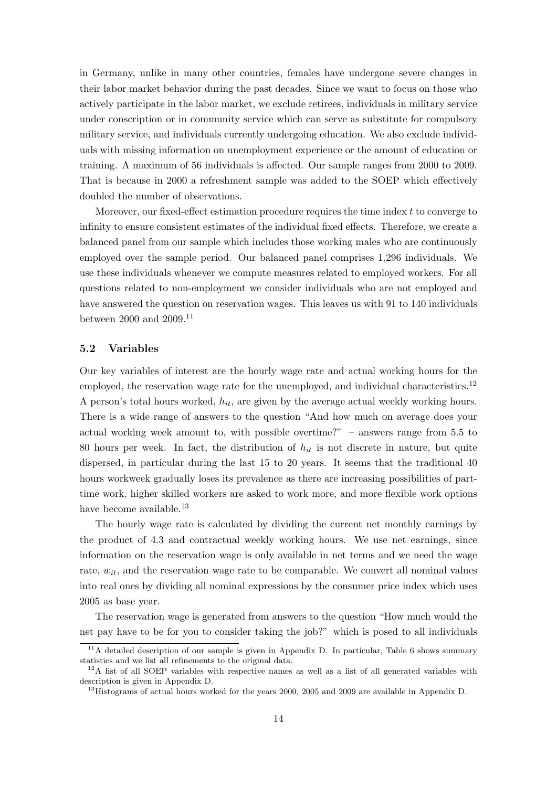in Germany, unlike in many other countries, females have undergone severe changes in their labor market behavior during the past decades. Since we want to focus on those who actively participate in the labor market, we exclude retirees, individuals in military service under conscription or in community service which can serve as substitute for compulsory military service, and individuals currently undergoing education. We also exclude individuals with missing information on unemployment experience or the amount of education or training. A maximum of 56 individuals is affected. Our sample ranges from 2000 to 2009. That is because in 2000 a refreshment sample was added to the SOEP which effectively doubled the number of observations.

Moreover, our fixed-effect estimation procedure requires the time index  $t$  to converge to infinity to ensure consistent estimates of the individual fixed effects. Therefore, we create a balanced panel from our sample which includes those working males who are continuously employed over the sample period. Our balanced panel comprises 1,296 individuals. We use these individuals whenever we compute measures related to employed workers. For all questions related to non-employment we consider individuals who are not employed and have answered the question on reservation wages. This leaves us with 91 to 140 individuals between 2000 and 2009.<sup>11</sup>

#### 5.2 Variables

Our key variables of interest are the hourly wage rate and actual working hours for the employed, the reservation wage rate for the unemployed, and individual characteristics.<sup>12</sup> A person's total hours worked,  $h_{it}$ , are given by the average actual weekly working hours. There is a wide range of answers to the question "And how much on average does your actual working week amount to, with possible overtime?" – answers range from 5.5 to 80 hours per week. In fact, the distribution of  $h_{it}$  is not discrete in nature, but quite dispersed, in particular during the last 15 to 20 years. It seems that the traditional 40 hours workweek gradually loses its prevalence as there are increasing possibilities of parttime work, higher skilled workers are asked to work more, and more flexible work options have become available.<sup>13</sup>

The hourly wage rate is calculated by dividing the current net monthly earnings by the product of 4.3 and contractual weekly working hours. We use net earnings, since information on the reservation wage is only available in net terms and we need the wage rate,  $w_{it}$ , and the reservation wage rate to be comparable. We convert all nominal values into real ones by dividing all nominal expressions by the consumer price index which uses 2005 as base year.

The reservation wage is generated from answers to the question "How much would the net pay have to be for you to consider taking the job?" which is posed to all individuals

 $11A$  detailed description of our sample is given in Appendix D. In particular, Table 6 shows summary statistics and we list all refinements to the original data.

<sup>&</sup>lt;sup>12</sup>A list of all SOEP variables with respective names as well as a list of all generated variables with description is given in Appendix D.

<sup>&</sup>lt;sup>13</sup>Histograms of actual hours worked for the years 2000, 2005 and 2009 are available in Appendix D.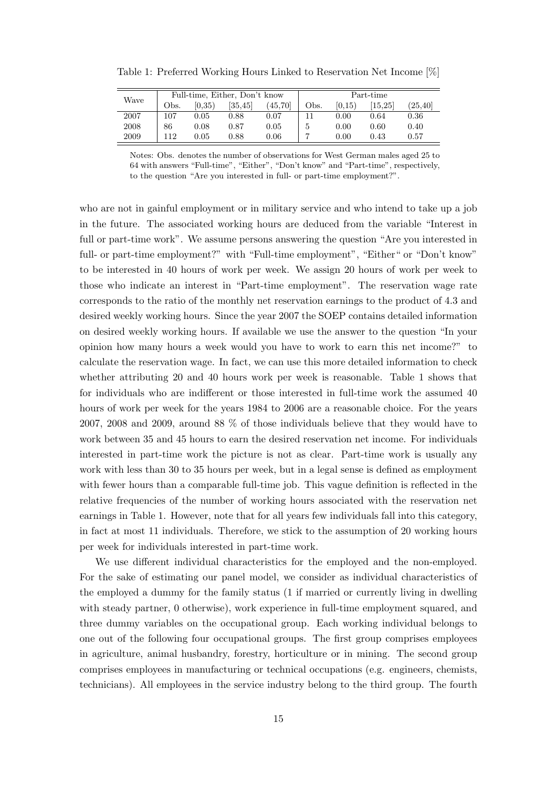| Table 1: Preferred Working Hours Linked to Reservation Net Income [%] |  |  |  |  |  |
|-----------------------------------------------------------------------|--|--|--|--|--|
|-----------------------------------------------------------------------|--|--|--|--|--|

| Wave | Full-time, Either, Don't know |            |          |          | Part-time |        |         |          |
|------|-------------------------------|------------|----------|----------|-----------|--------|---------|----------|
|      | Obs.                          | (0.35)     | [35, 45] | (45, 70) | Obs.      | (0.15) | [15.25] | (25, 40) |
| 2007 | 107                           | $0.05\,$   | 0.88     | 0.07     |           | 0.00   | 0.64    | 0.36     |
| 2008 | 86                            | 0.08       | 0.87     | 0.05     | ð         | 0.00   | 0.60    | 0.40     |
| 2009 | 112                           | $\rm 0.05$ | $0.88\,$ | 0.06     |           | 0.00   | 0.43    | 0.57     |

Notes: Obs. denotes the number of observations for West German males aged 25 to 64 with answers "Full-time", "Either", "Don't know" and "Part-time", respectively, to the question "Are you interested in full- or part-time employment?".

who are not in gainful employment or in military service and who intend to take up a job in the future. The associated working hours are deduced from the variable "Interest in full or part-time work". We assume persons answering the question "Are you interested in full- or part-time employment?" with "Full-time employment", "Either" or "Don't know" to be interested in 40 hours of work per week. We assign 20 hours of work per week to those who indicate an interest in "Part-time employment". The reservation wage rate corresponds to the ratio of the monthly net reservation earnings to the product of 4.3 and desired weekly working hours. Since the year 2007 the SOEP contains detailed information on desired weekly working hours. If available we use the answer to the question "In your opinion how many hours a week would you have to work to earn this net income?" to calculate the reservation wage. In fact, we can use this more detailed information to check whether attributing 20 and 40 hours work per week is reasonable. Table 1 shows that for individuals who are indifferent or those interested in full-time work the assumed 40 hours of work per week for the years 1984 to 2006 are a reasonable choice. For the years 2007, 2008 and 2009, around 88 % of those individuals believe that they would have to work between 35 and 45 hours to earn the desired reservation net income. For individuals interested in part-time work the picture is not as clear. Part-time work is usually any work with less than 30 to 35 hours per week, but in a legal sense is defined as employment with fewer hours than a comparable full-time job. This vague definition is reflected in the relative frequencies of the number of working hours associated with the reservation net earnings in Table 1. However, note that for all years few individuals fall into this category, in fact at most 11 individuals. Therefore, we stick to the assumption of 20 working hours per week for individuals interested in part-time work.

We use different individual characteristics for the employed and the non-employed. For the sake of estimating our panel model, we consider as individual characteristics of the employed a dummy for the family status (1 if married or currently living in dwelling with steady partner, 0 otherwise), work experience in full-time employment squared, and three dummy variables on the occupational group. Each working individual belongs to one out of the following four occupational groups. The first group comprises employees in agriculture, animal husbandry, forestry, horticulture or in mining. The second group comprises employees in manufacturing or technical occupations (e.g. engineers, chemists, technicians). All employees in the service industry belong to the third group. The fourth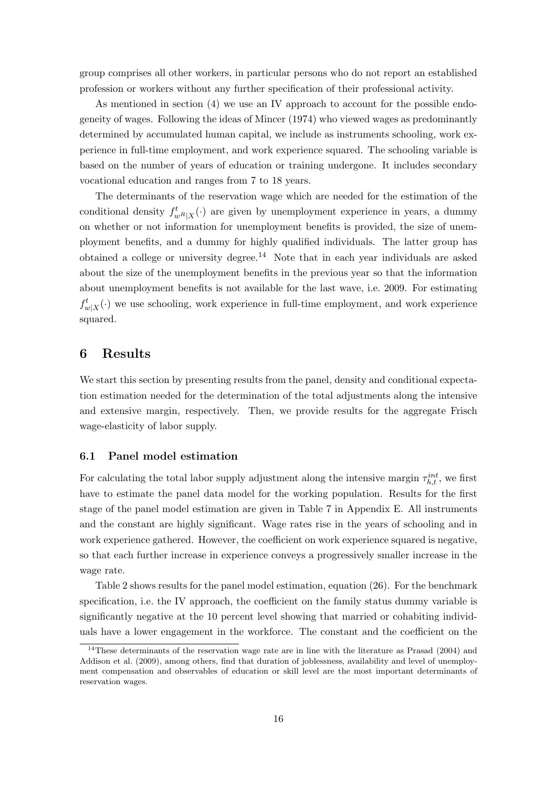group comprises all other workers, in particular persons who do not report an established profession or workers without any further specification of their professional activity.

As mentioned in section (4) we use an IV approach to account for the possible endogeneity of wages. Following the ideas of Mincer (1974) who viewed wages as predominantly determined by accumulated human capital, we include as instruments schooling, work experience in full-time employment, and work experience squared. The schooling variable is based on the number of years of education or training undergone. It includes secondary vocational education and ranges from 7 to 18 years.

The determinants of the reservation wage which are needed for the estimation of the conditional density  $f_{wR|X}^t(\cdot)$  are given by unemployment experience in years, a dummy on whether or not information for unemployment benefits is provided, the size of unemployment benefits, and a dummy for highly qualified individuals. The latter group has obtained a college or university degree.<sup>14</sup> Note that in each year individuals are asked about the size of the unemployment benefits in the previous year so that the information about unemployment benefits is not available for the last wave, i.e. 2009. For estimating  $f_{w|X}^t(\cdot)$  we use schooling, work experience in full-time employment, and work experience squared.

### 6 Results

We start this section by presenting results from the panel, density and conditional expectation estimation needed for the determination of the total adjustments along the intensive and extensive margin, respectively. Then, we provide results for the aggregate Frisch wage-elasticity of labor supply.

#### 6.1 Panel model estimation

For calculating the total labor supply adjustment along the intensive margin  $\tau_{h,t}^{int}$ , we first have to estimate the panel data model for the working population. Results for the first stage of the panel model estimation are given in Table 7 in Appendix E. All instruments and the constant are highly significant. Wage rates rise in the years of schooling and in work experience gathered. However, the coefficient on work experience squared is negative, so that each further increase in experience conveys a progressively smaller increase in the wage rate.

Table 2 shows results for the panel model estimation, equation (26). For the benchmark specification, i.e. the IV approach, the coefficient on the family status dummy variable is significantly negative at the 10 percent level showing that married or cohabiting individuals have a lower engagement in the workforce. The constant and the coefficient on the

<sup>&</sup>lt;sup>14</sup>These determinants of the reservation wage rate are in line with the literature as Prasad (2004) and Addison et al. (2009), among others, find that duration of joblessness, availability and level of unemployment compensation and observables of education or skill level are the most important determinants of reservation wages.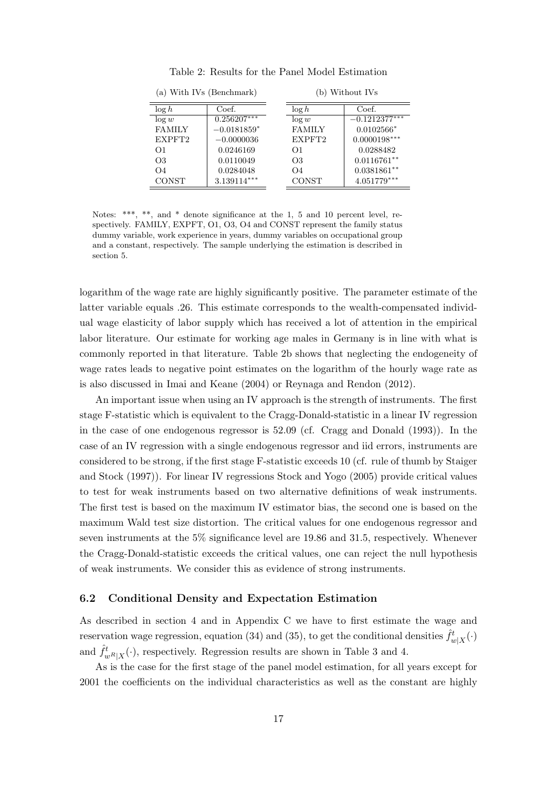| (a) With IVs (Benchmark) |               | (b) Without IVs |                |                  |
|--------------------------|---------------|-----------------|----------------|------------------|
| $\log h$                 | Coef.         |                 | $\log h$       | Coef.            |
| $\log w$                 | $0.256207***$ |                 | $\log w$       | $-0.1212377***$  |
| <b>FAMILY</b>            | $-0.0181859*$ |                 | <b>FAMILY</b>  | $0.0102566*$     |
| EXPFT2                   | $-0.0000036$  |                 | EXPFT2         | $0.0000198***$   |
| $\Omega$                 | 0.0246169     |                 | $\Omega$ 1     | 0.0288482        |
| O3                       | 0.0110049     |                 | O <sub>3</sub> | $0.0116761**$    |
| O4                       | 0.0284048     |                 | O4             | $0.0381861^{**}$ |
| <b>CONST</b>             | $3.139114***$ |                 | CONST          | $4.051779***$    |

Table 2: Results for the Panel Model Estimation

Notes: \*\*\*, \*\*, and \* denote significance at the 1, 5 and 10 percent level, respectively. FAMILY, EXPFT, O1, O3, O4 and CONST represent the family status dummy variable, work experience in years, dummy variables on occupational group and a constant, respectively. The sample underlying the estimation is described in section 5.

logarithm of the wage rate are highly significantly positive. The parameter estimate of the latter variable equals .26. This estimate corresponds to the wealth-compensated individual wage elasticity of labor supply which has received a lot of attention in the empirical labor literature. Our estimate for working age males in Germany is in line with what is commonly reported in that literature. Table 2b shows that neglecting the endogeneity of wage rates leads to negative point estimates on the logarithm of the hourly wage rate as is also discussed in Imai and Keane (2004) or Reynaga and Rendon (2012).

An important issue when using an IV approach is the strength of instruments. The first stage F-statistic which is equivalent to the Cragg-Donald-statistic in a linear IV regression in the case of one endogenous regressor is 52.09 (cf. Cragg and Donald (1993)). In the case of an IV regression with a single endogenous regressor and iid errors, instruments are considered to be strong, if the first stage F-statistic exceeds 10 (cf. rule of thumb by Staiger and Stock (1997)). For linear IV regressions Stock and Yogo (2005) provide critical values to test for weak instruments based on two alternative definitions of weak instruments. The first test is based on the maximum IV estimator bias, the second one is based on the maximum Wald test size distortion. The critical values for one endogenous regressor and seven instruments at the 5% significance level are 19.86 and 31.5, respectively. Whenever the Cragg-Donald-statistic exceeds the critical values, one can reject the null hypothesis of weak instruments. We consider this as evidence of strong instruments.

#### 6.2 Conditional Density and Expectation Estimation

As described in section 4 and in Appendix C we have to first estimate the wage and reservation wage regression, equation (34) and (35), to get the conditional densities  $\hat{f}^t_{w|X}(\cdot)$ and  $\hat{f}^t_{w^R|X}(\cdot)$ , respectively. Regression results are shown in Table 3 and 4.

As is the case for the first stage of the panel model estimation, for all years except for 2001 the coefficients on the individual characteristics as well as the constant are highly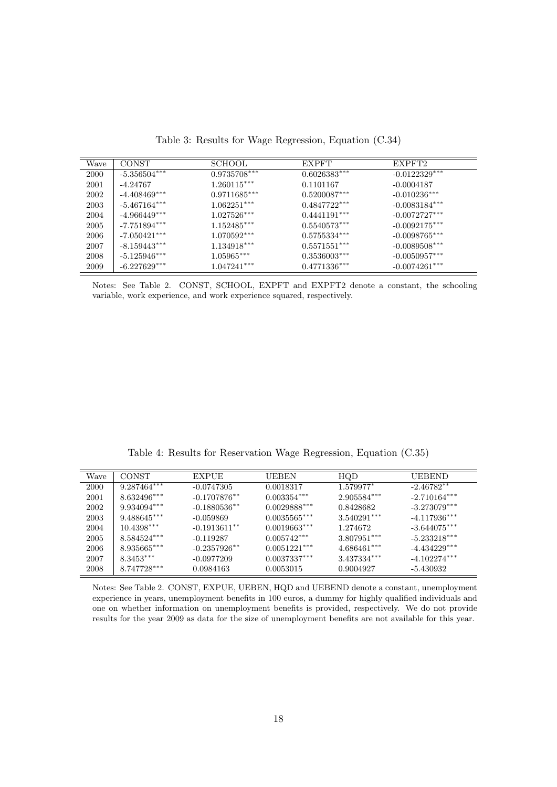| Wave | <b>CONST</b>   | <b>SCHOOL</b>  | <b>EXPFT</b>   | EXPFT <sub>2</sub> |
|------|----------------|----------------|----------------|--------------------|
| 2000 | $-5.356504***$ | $0.9735708***$ | $0.6026383***$ | $-0.0122329***$    |
| 2001 | $-4.24767$     | $1.260115***$  | 0.1101167      | $-0.0004187$       |
| 2002 | $-4.408469***$ | $0.9711685***$ | $0.5200087***$ | $-0.010236***$     |
| 2003 | $-5.467164***$ | $1.062251***$  | $0.4847722***$ | $-0.0083184***$    |
| 2004 | $-4.966449***$ | $1.027526***$  | $0.4441191***$ | $-0.0072727***$    |
| 2005 | $-7.751894***$ | $1.152485***$  | $0.5540573***$ | $-0.0092175***$    |
| 2006 | $-7.050421***$ | $1.070592***$  | $0.5755334***$ | $-0.0098765***$    |
| 2007 | $-8.159443***$ | $1.134918***$  | $0.5571551***$ | $-0.0089508***$    |
| 2008 | $-5.125946***$ | $1.05965***$   | $0.3536003***$ | $-0.0050957***$    |
| 2009 | $-6.227629***$ | $1.047241***$  | $0.4771336***$ | $-0.0074261***$    |

Table 3: Results for Wage Regression, Equation (C.34)

Notes: See Table 2. CONST, SCHOOL, EXPFT and EXPFT2 denote a constant, the schooling variable, work experience, and work experience squared, respectively.

Table 4: Results for Reservation Wage Regression, Equation (C.35)

| Wave | <b>CONST</b>  | <b>EXPUE</b>    | <b>UEBEN</b>   | HQD           | <b>UEBEND</b>  |
|------|---------------|-----------------|----------------|---------------|----------------|
| 2000 | $9.287464***$ | $-0.0747305$    | 0.0018317      | 1.579977*     | $-2.46782**$   |
| 2001 | $8.632496***$ | $-0.1707876**$  | $0.003354***$  | $2.905584***$ | $-2.710164***$ |
| 2002 | $9.934094***$ | $-0.1880536**$  | $0.0029888***$ | 0.8428682     | $-3.273079***$ |
| 2003 | $9.488645***$ | $-0.059869$     | $0.0035565***$ | $3.540291***$ | $-4.117936***$ |
| 2004 | $10.4398***$  | $-0.1913611***$ | $0.0019663***$ | 1.274672      | $-3.644075***$ |
| 2005 | $8.584524***$ | $-0.119287$     | $0.005742***$  | $3.807951***$ | $-5.233218***$ |
| 2006 | $8.935665***$ | $-0.2357926$ ** | $0.0051221***$ | $4.686461***$ | $-4.434229***$ |
| 2007 | $8.3453***$   | $-0.0977209$    | $0.0037337***$ | $3.437334***$ | $-4.102274***$ |
| 2008 | $8.747728***$ | 0.0984163       | 0.0053015      | 0.9004927     | -5.430932      |

Notes: See Table 2. CONST, EXPUE, UEBEN, HQD and UEBEND denote a constant, unemployment experience in years, unemployment benefits in 100 euros, a dummy for highly qualified individuals and one on whether information on unemployment benefits is provided, respectively. We do not provide results for the year 2009 as data for the size of unemployment benefits are not available for this year.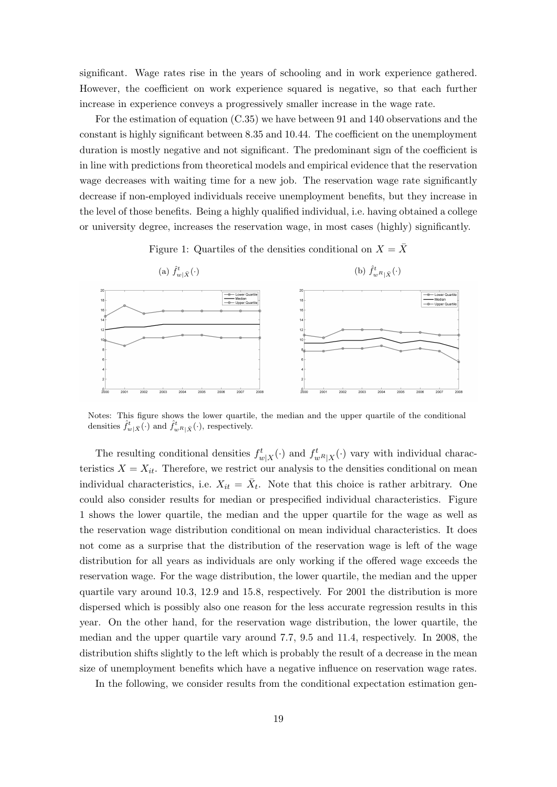significant. Wage rates rise in the years of schooling and in work experience gathered. However, the coefficient on work experience squared is negative, so that each further increase in experience conveys a progressively smaller increase in the wage rate.

For the estimation of equation (C.35) we have between 91 and 140 observations and the constant is highly significant between 8.35 and 10.44. The coefficient on the unemployment duration is mostly negative and not significant. The predominant sign of the coefficient is in line with predictions from theoretical models and empirical evidence that the reservation wage decreases with waiting time for a new job. The reservation wage rate significantly decrease if non-employed individuals receive unemployment benefits, but they increase in the level of those benefits. Being a highly qualified individual, i.e. having obtained a college or university degree, increases the reservation wage, in most cases (highly) significantly.





Notes: This figure shows the lower quartile, the median and the upper quartile of the conditional densities  $\hat{f}^t_{w|\bar{X}}(\cdot)$  and  $\hat{f}^t_{w^R|\bar{X}}(\cdot)$ , respectively.

The resulting conditional densities  $f_{w|X}^t(\cdot)$  and  $f_{w^R|X}^t(\cdot)$  vary with individual characteristics  $X = X_{it}$ . Therefore, we restrict our analysis to the densities conditional on mean individual characteristics, i.e.  $X_{it} = \bar{X}_{t}$ . Note that this choice is rather arbitrary. One could also consider results for median or prespecified individual characteristics. Figure 1 shows the lower quartile, the median and the upper quartile for the wage as well as the reservation wage distribution conditional on mean individual characteristics. It does not come as a surprise that the distribution of the reservation wage is left of the wage distribution for all years as individuals are only working if the offered wage exceeds the reservation wage. For the wage distribution, the lower quartile, the median and the upper quartile vary around 10.3, 12.9 and 15.8, respectively. For 2001 the distribution is more dispersed which is possibly also one reason for the less accurate regression results in this year. On the other hand, for the reservation wage distribution, the lower quartile, the median and the upper quartile vary around 7.7, 9.5 and 11.4, respectively. In 2008, the distribution shifts slightly to the left which is probably the result of a decrease in the mean size of unemployment benefits which have a negative influence on reservation wage rates.

In the following, we consider results from the conditional expectation estimation gen-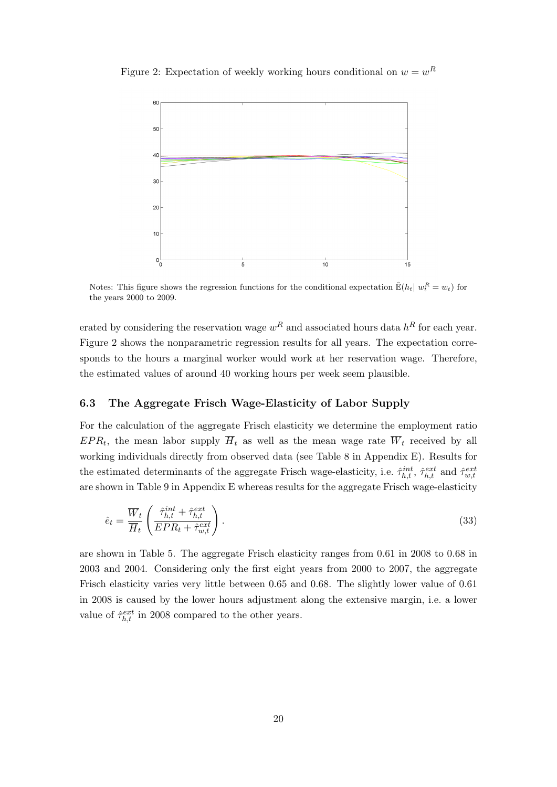Figure 2: Expectation of weekly working hours conditional on  $w = w<sup>R</sup>$ 



Notes: This figure shows the regression functions for the conditional expectation  $\mathbb{E}(h_t | w_t^R = w_t)$  for the years 2000 to 2009.

erated by considering the reservation wage  $w<sup>R</sup>$  and associated hours data  $h<sup>R</sup>$  for each year. Figure 2 shows the nonparametric regression results for all years. The expectation corresponds to the hours a marginal worker would work at her reservation wage. Therefore, the estimated values of around 40 working hours per week seem plausible.

#### 6.3 The Aggregate Frisch Wage-Elasticity of Labor Supply

For the calculation of the aggregate Frisch elasticity we determine the employment ratio  $EPR_t$ , the mean labor supply  $H_t$  as well as the mean wage rate  $W_t$  received by all working individuals directly from observed data (see Table 8 in Appendix E). Results for the estimated determinants of the aggregate Frisch wage-elasticity, i.e.  $\hat{\tau}_{h,t}^{int}$ ,  $\hat{\tau}_{h,t}^{ext}$  and  $\hat{\tau}_{w,t}^{ext}$ are shown in Table 9 in Appendix E whereas results for the aggregate Frisch wage-elasticity

$$
\hat{e}_t = \frac{\overline{W}_t}{\overline{H}_t} \left( \frac{\hat{\tau}_{h,t}^{int} + \hat{\tau}_{h,t}^{ext}}{EPR_t + \hat{\tau}_{w,t}^{ext}} \right). \tag{33}
$$

are shown in Table 5. The aggregate Frisch elasticity ranges from 0.61 in 2008 to 0.68 in 2003 and 2004. Considering only the first eight years from 2000 to 2007, the aggregate Frisch elasticity varies very little between 0.65 and 0.68. The slightly lower value of 0.61 in 2008 is caused by the lower hours adjustment along the extensive margin, i.e. a lower value of  $\hat{\tau}_{h,t}^{ext}$  in 2008 compared to the other years.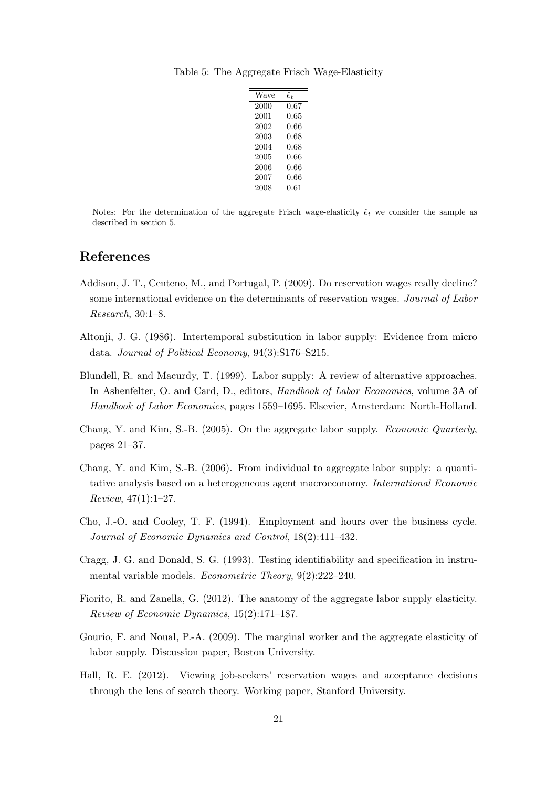| Wave | ê+   |
|------|------|
| 2000 | 0.67 |
| 2001 | 0.65 |
| 2002 | 0.66 |
| 2003 | 0.68 |
| 2004 | 0.68 |
| 2005 | 0.66 |
| 2006 | 0.66 |
| 2007 | 0.66 |
| 2008 | 0.61 |

Table 5: The Aggregate Frisch Wage-Elasticity

Notes: For the determination of the aggregate Frisch wage-elasticity  $\hat{e}_t$  we consider the sample as described in section 5.

### References

- Addison, J. T., Centeno, M., and Portugal, P. (2009). Do reservation wages really decline? some international evidence on the determinants of reservation wages. Journal of Labor Research, 30:1–8.
- Altonji, J. G. (1986). Intertemporal substitution in labor supply: Evidence from micro data. Journal of Political Economy, 94(3):S176–S215.
- Blundell, R. and Macurdy, T. (1999). Labor supply: A review of alternative approaches. In Ashenfelter, O. and Card, D., editors, Handbook of Labor Economics, volume 3A of Handbook of Labor Economics, pages 1559–1695. Elsevier, Amsterdam: North-Holland.
- Chang, Y. and Kim, S.-B. (2005). On the aggregate labor supply. Economic Quarterly, pages 21–37.
- Chang, Y. and Kim, S.-B. (2006). From individual to aggregate labor supply: a quantitative analysis based on a heterogeneous agent macroeconomy. International Economic Review, 47(1):1–27.
- Cho, J.-O. and Cooley, T. F. (1994). Employment and hours over the business cycle. Journal of Economic Dynamics and Control, 18(2):411–432.
- Cragg, J. G. and Donald, S. G. (1993). Testing identifiability and specification in instrumental variable models. Econometric Theory, 9(2):222–240.
- Fiorito, R. and Zanella, G. (2012). The anatomy of the aggregate labor supply elasticity. Review of Economic Dynamics, 15(2):171–187.
- Gourio, F. and Noual, P.-A. (2009). The marginal worker and the aggregate elasticity of labor supply. Discussion paper, Boston University.
- Hall, R. E. (2012). Viewing job-seekers' reservation wages and acceptance decisions through the lens of search theory. Working paper, Stanford University.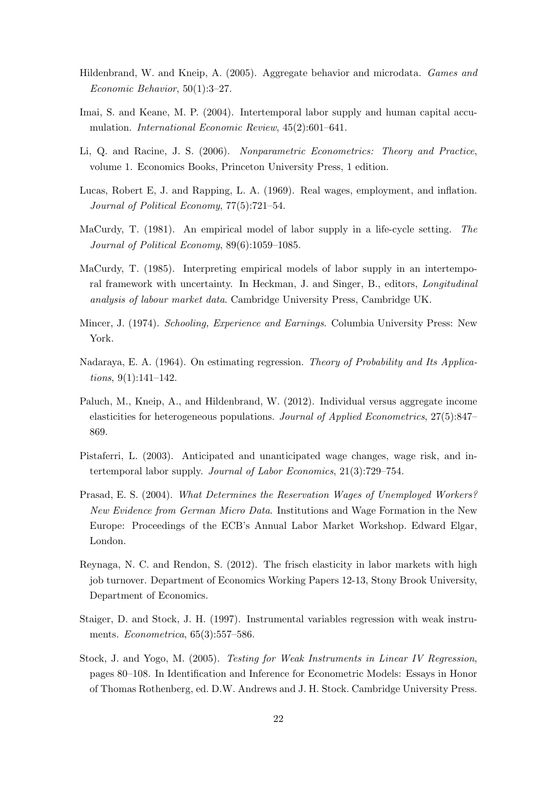- Hildenbrand, W. and Kneip, A. (2005). Aggregate behavior and microdata. Games and Economic Behavior, 50(1):3–27.
- Imai, S. and Keane, M. P. (2004). Intertemporal labor supply and human capital accumulation. International Economic Review, 45(2):601–641.
- Li, Q. and Racine, J. S. (2006). Nonparametric Econometrics: Theory and Practice, volume 1. Economics Books, Princeton University Press, 1 edition.
- Lucas, Robert E, J. and Rapping, L. A. (1969). Real wages, employment, and inflation. Journal of Political Economy, 77(5):721–54.
- MaCurdy, T. (1981). An empirical model of labor supply in a life-cycle setting. The Journal of Political Economy, 89(6):1059–1085.
- MaCurdy, T. (1985). Interpreting empirical models of labor supply in an intertemporal framework with uncertainty. In Heckman, J. and Singer, B., editors, Longitudinal analysis of labour market data. Cambridge University Press, Cambridge UK.
- Mincer, J. (1974). Schooling, Experience and Earnings. Columbia University Press: New York.
- Nadaraya, E. A. (1964). On estimating regression. Theory of Probability and Its Applications, 9(1):141–142.
- Paluch, M., Kneip, A., and Hildenbrand, W. (2012). Individual versus aggregate income elasticities for heterogeneous populations. Journal of Applied Econometrics, 27(5):847– 869.
- Pistaferri, L. (2003). Anticipated and unanticipated wage changes, wage risk, and intertemporal labor supply. Journal of Labor Economics, 21(3):729–754.
- Prasad, E. S. (2004). What Determines the Reservation Wages of Unemployed Workers? New Evidence from German Micro Data. Institutions and Wage Formation in the New Europe: Proceedings of the ECB's Annual Labor Market Workshop. Edward Elgar, London.
- Reynaga, N. C. and Rendon, S. (2012). The frisch elasticity in labor markets with high job turnover. Department of Economics Working Papers 12-13, Stony Brook University, Department of Economics.
- Staiger, D. and Stock, J. H. (1997). Instrumental variables regression with weak instruments. Econometrica, 65(3):557–586.
- Stock, J. and Yogo, M. (2005). Testing for Weak Instruments in Linear IV Regression, pages 80–108. In Identification and Inference for Econometric Models: Essays in Honor of Thomas Rothenberg, ed. D.W. Andrews and J. H. Stock. Cambridge University Press.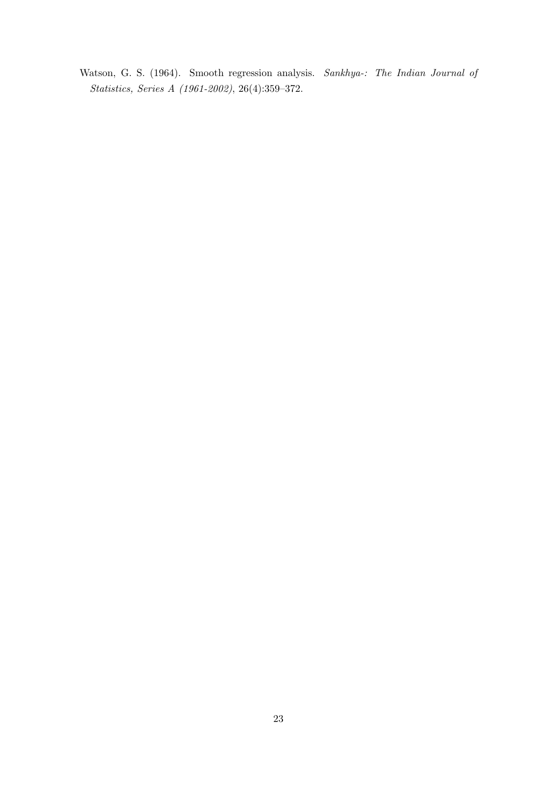Watson, G. S. (1964). Smooth regression analysis. Sankhya-: The Indian Journal of Statistics, Series A (1961-2002), 26(4):359–372.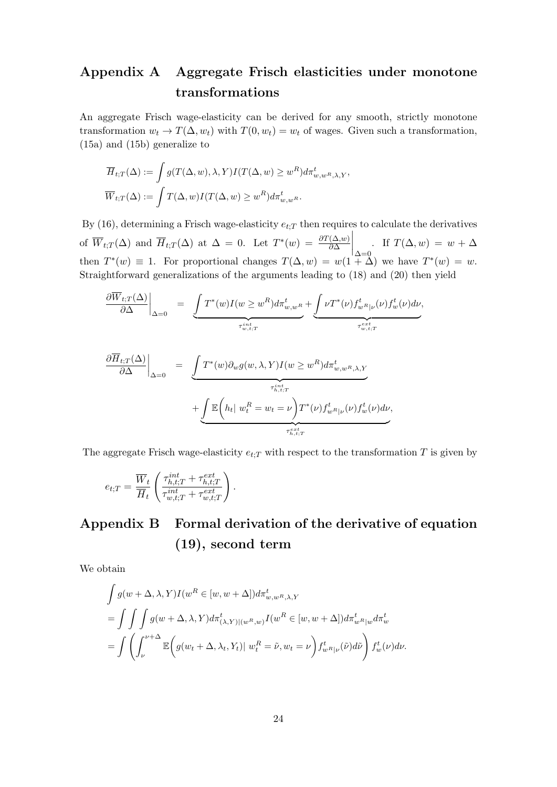# Appendix A Aggregate Frisch elasticities under monotone transformations

An aggregate Frisch wage-elasticity can be derived for any smooth, strictly monotone transformation  $w_t \to T(\Delta, w_t)$  with  $T(0, w_t) = w_t$  of wages. Given such a transformation, (15a) and (15b) generalize to

$$
\overline{H}_{t,T}(\Delta) := \int g(T(\Delta, w), \lambda, Y) I(T(\Delta, w) \ge w^R) d\pi_{w,w^R, \lambda, Y}^t,
$$
  

$$
\overline{W}_{t,T}(\Delta) := \int T(\Delta, w) I(T(\Delta, w) \ge w^R) d\pi_{w,w^R}^t.
$$

By (16), determining a Frisch wage-elasticity  $e_{t,T}$  then requires to calculate the derivatives of  $\overline{W}_{t,T}(\Delta)$  and  $\overline{H}_{t,T}(\Delta)$  at  $\Delta = 0$ . Let  $T^*(w) = \frac{\partial T(\Delta,w)}{\partial \Delta}$  $\Big|_{\Delta=0}$ . If  $T(\Delta, w) = w + \Delta$ then  $T^*(w) \equiv 1$ . For proportional changes  $T(\Delta, w) = w(1 + \Delta)$  we have  $T^*(w) = w$ . Straightforward generalizations of the arguments leading to (18) and (20) then yield

$$
\frac{\partial \overline{W}_{t;T}(\Delta)}{\partial \Delta}\Big|_{\Delta=0} = \underbrace{\int T^*(w)I(w \geq w^R) d\pi_{w,w^R}^t}_{\tau_{w,t;T}^{int}} + \underbrace{\int \nu T^*(\nu) f_{w^R|\nu}^t(\nu) f_w^t(\nu) d\nu}_{\tau_{w,t;T}^{ext}},
$$

$$
\frac{\partial \overline{H}_{t;T}(\Delta)}{\partial \Delta} \Big|_{\Delta=0} = \underbrace{\int T^*(w) \partial_w g(w, \lambda, Y) I(w \ge w^R) d\pi_{w,w^R,\lambda,Y}^t}_{\tau_{h,t;T}^{int}} + \underbrace{\int \mathbb{E}\left(h_t | w_t^R = w_t = \nu\right) T^*(\nu) f_{w^R|\nu}^t(\nu) f_w^t(\nu) d\nu}_{\tau_{h,t;T}^{ext}},
$$

The aggregate Frisch wage-elasticity  $e_{t:T}$  with respect to the transformation T is given by

$$
e_{t;T} = \frac{\overline{W}_t}{\overline{H}_t} \left( \frac{\tau_{h,t;T}^{int} + \tau_{h,t;T}^{ext}}{\tau_{w,t;T}^{int} + \tau_{w,t;T}^{ext}} \right).
$$

# Appendix B Formal derivation of the derivative of equation (19), second term

We obtain

$$
\int g(w + \Delta, \lambda, Y) I(w^R \in [w, w + \Delta]) d\pi_{w, w^R, \lambda, Y}^t
$$
\n
$$
= \int \int \int g(w + \Delta, \lambda, Y) d\pi_{(\lambda, Y)|(w^R, w)}^t I(w^R \in [w, w + \Delta]) d\pi_{w^R|w}^t d\pi_w^t
$$
\n
$$
= \int \left( \int_{\nu}^{\nu + \Delta} \mathbb{E} \left( g(w_t + \Delta, \lambda_t, Y_t) | w_t^R = \tilde{\nu}, w_t = \nu \right) f_{w^R|\nu}^t(\tilde{\nu}) d\tilde{\nu} \right) f_w^t(\nu) d\nu.
$$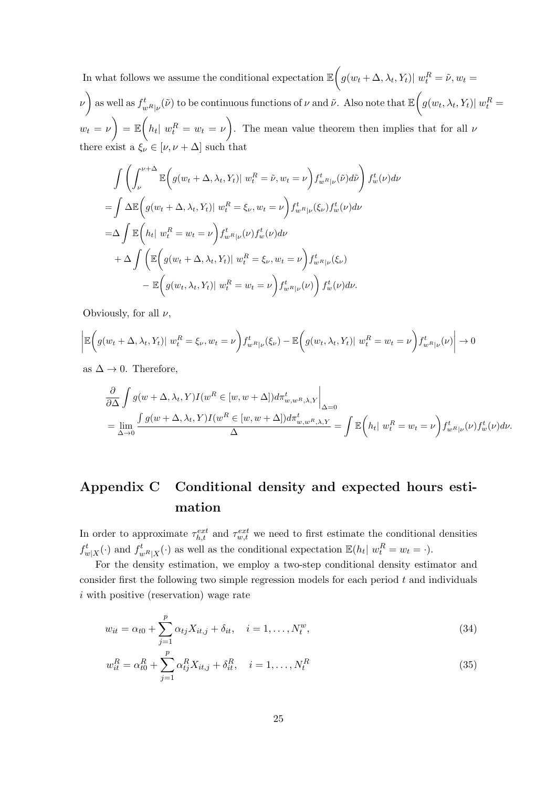In what follows we assume the conditional expectation  $\mathbb{E}\bigg(g(w_t + \Delta, \lambda_t, Y_t)|w_t^R = \tilde{\nu}, w_t =$  $\mathcal{L}(\nu)$  as well as  $f_{w^R|\nu}^t(\tilde{\nu})$  to be continuous functions of  $\nu$  and  $\tilde{\nu}$ . Also note that  $\mathbb{E}\bigg(g(w_t, \lambda_t, Y_t)|w_t^R=0\bigg)$  $w_t = \nu$  =  $\mathbb{E}\left(h_t | w_t^R = w_t = \nu\right)$ . The mean value theorem then implies that for all  $\nu$ there exist a  $\xi_{\nu} \in [\nu, \nu + \Delta]$  such that

$$
\int \left( \int_{\nu}^{\nu+\Delta} \mathbb{E} \left( g(w_t + \Delta, \lambda_t, Y_t) | w_t^R = \tilde{\nu}, w_t = \nu \right) f_{w^R|\nu}^t(\tilde{\nu}) d\tilde{\nu} \right) f_w^t(\nu) d\nu
$$
  
\n
$$
= \int \Delta \mathbb{E} \left( g(w_t + \Delta, \lambda_t, Y_t) | w_t^R = \xi_{\nu}, w_t = \nu \right) f_{w^R|\nu}^t(\xi_{\nu}) f_w^t(\nu) d\nu
$$
  
\n
$$
= \Delta \int \mathbb{E} \left( h_t | w_t^R = w_t = \nu \right) f_{w^R|\nu}^t(\nu) f_w^t(\nu) d\nu
$$
  
\n
$$
+ \Delta \int \left( \mathbb{E} \left( g(w_t + \Delta, \lambda_t, Y_t) | w_t^R = \xi_{\nu}, w_t = \nu \right) f_{w^R|\nu}^t(\xi_{\nu}) - \mathbb{E} \left( g(w_t, \lambda_t, Y_t) | w_t^R = w_t = \nu \right) f_{w^R|\nu}^t(\nu) \right) f_w^t(\nu) d\nu.
$$

Obviously, for all  $\nu$ ,

$$
\left| \mathbb{E}\bigg(g(w_t + \Delta, \lambda_t, Y_t) | w_t^R = \xi_{\nu}, w_t = \nu\bigg) f_{w^R|\nu}^t(\xi_{\nu}) - \mathbb{E}\bigg(g(w_t, \lambda_t, Y_t) | w_t^R = w_t = \nu\bigg) f_{w^R|\nu}^t(\nu) \right| \to 0
$$

as  $\Delta \rightarrow 0$ . Therefore,

$$
\frac{\partial}{\partial \Delta} \int g(w + \Delta, \lambda_t, Y) I(w^R \in [w, w + \Delta]) d\pi_{w,w^R, \lambda, Y}^t \Big|_{\Delta = 0}
$$
  
= 
$$
\lim_{\Delta \to 0} \frac{\int g(w + \Delta, \lambda_t, Y) I(w^R \in [w, w + \Delta]) d\pi_{w,w^R, \lambda, Y}^t}{\Delta} = \int \mathbb{E} \left( h_t | w_t^R = w_t = \nu \right) f_{w^R | \nu}^t(\nu) f_w^t(\nu) d\nu.
$$

# Appendix C Conditional density and expected hours estimation

In order to approximate  $\tau_{h,t}^{ext}$  and  $\tau_{w,t}^{ext}$  we need to first estimate the conditional densities  $f_{w|X}^t(\cdot)$  and  $f_{w^R|X}^t(\cdot)$  as well as the conditional expectation  $\mathbb{E}(h_t | w_t^R = w_t = \cdot)$ .

For the density estimation, we employ a two-step conditional density estimator and consider first the following two simple regression models for each period  $t$  and individuals i with positive (reservation) wage rate

$$
w_{it} = \alpha_{t0} + \sum_{j=1}^{p} \alpha_{tj} X_{it,j} + \delta_{it}, \quad i = 1, ..., N_t^w,
$$
\n(34)

$$
w_{it}^{R} = \alpha_{t0}^{R} + \sum_{j=1}^{p} \alpha_{tj}^{R} X_{it,j} + \delta_{it}^{R}, \quad i = 1, ..., N_{t}^{R}
$$
\n(35)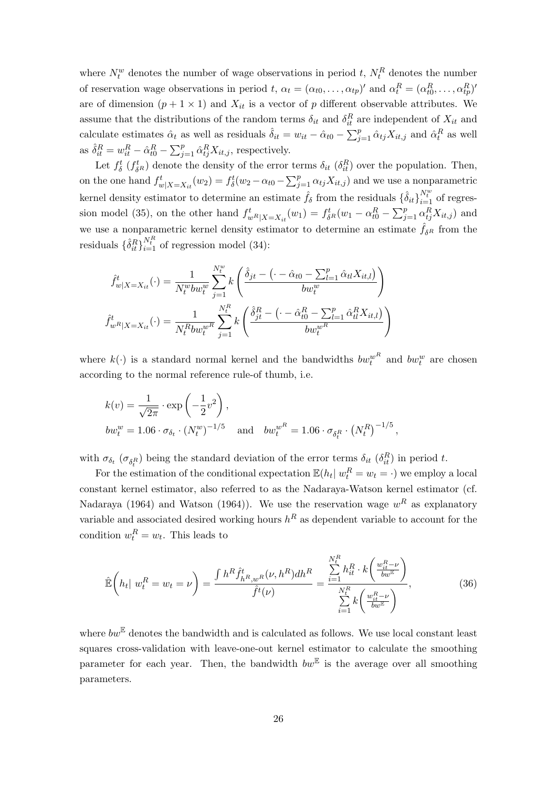where  $N_t^w$  denotes the number of wage observations in period t,  $N_t^R$  denotes the number of reservation wage observations in period t,  $\alpha_t = (\alpha_{t0}, \dots, \alpha_{tp})'$  and  $\alpha_t^R = (\alpha_{t0}^R, \dots, \alpha_{tp}^R)'$ are of dimension  $(p + 1 \times 1)$  and  $X_{it}$  is a vector of p different observable attributes. We assume that the distributions of the random terms  $\delta_{it}$  and  $\delta_{it}^R$  are independent of  $X_{it}$  and calculate estimates  $\hat{\alpha}_t$  as well as residuals  $\hat{\delta}_{it} = w_{it} - \hat{\alpha}_{t0} - \sum_{j=1}^p \hat{\alpha}_{tj} X_{it,j}$  and  $\hat{\alpha}_t^R$  as well as  $\hat{\delta}_{it}^R = w_{it}^R - \hat{\alpha}_{t0}^R - \sum_{j=1}^p \hat{\alpha}_{tj}^R X_{it,j}$ , respectively.

Let  $f_{\delta}^{t}$  ( $f_{\delta}^{t}$ ) denote the density of the error terms  $\delta_{it}$  ( $\delta_{it}^{R}$ ) over the population. Then, on the one hand  $f_{w|X=X_{it}}^t(w_2) = f_{\delta}(w_2 - \alpha_{t0} - \sum_{j=1}^p \alpha_{tj} X_{it,j})$  and we use a nonparametric kernel density estimator to determine an estimate  $\hat{f}_\delta$  from the residuals  $\{\hat{\delta}_{it}\}_{i=1}^{N_t^w}$  of regression model (35), on the other hand  $f_{w_R|X=X_{it}}^t(w_1) = f_{\delta^R}(w_1 - \alpha_{t0}^R - \sum_{j=1}^p \alpha_{tj}^R X_{it,j})$  and we use a nonparametric kernel density estimator to determine an estimate  $\hat{f}_{\delta^R}$  from the residuals  $\{\hat{\delta}_{it}^R\}_{i=1}^{N_t^R}$  of regression model (34):

$$
\hat{f}_{w|X=X_{it}}^{t}(\cdot) = \frac{1}{N_t^w b w_t^w} \sum_{j=1}^{N_t^w} k \left( \frac{\hat{\delta}_{jt} - \left( \cdot - \hat{\alpha}_{t0} - \sum_{l=1}^p \hat{\alpha}_{tl} X_{it,l} \right)}{b w_t^w} \right)
$$
\n
$$
\hat{f}_{wR|X=X_{it}}^{t}(\cdot) = \frac{1}{N_t^R b w_t^{wR}} \sum_{j=1}^{N_t^R} k \left( \frac{\hat{\delta}_{jt}^R - \left( \cdot - \hat{\alpha}_{t0}^R - \sum_{l=1}^p \hat{\alpha}_{tl}^R X_{it,l} \right)}{b w_t^{wR}} \right)
$$

where  $k(\cdot)$  is a standard normal kernel and the bandwidths  $bw_t^{wR}$  and  $bw_t^w$  are chosen according to the normal reference rule-of thumb, i.e.

$$
k(v) = \frac{1}{\sqrt{2\pi}} \cdot \exp\left(-\frac{1}{2}v^2\right),
$$
  
\n
$$
bw_t^w = 1.06 \cdot \sigma_{\delta_t} \cdot (N_t^w)^{-1/5}
$$
 and 
$$
bw_t^{wR} = 1.06 \cdot \sigma_{\delta_t^R} \cdot (N_t^R)^{-1/5},
$$

with  $\sigma_{\delta_t}$  ( $\sigma_{\delta_t}$ ) being the standard deviation of the error terms  $\delta_{it}$  ( $\delta_{it}^R$ ) in period t.

For the estimation of the conditional expectation  $\mathbb{E}(h_t | w_t^R = w_t = \cdot)$  we employ a local constant kernel estimator, also referred to as the Nadaraya-Watson kernel estimator (cf. Nadaraya (1964) and Watson (1964)). We use the reservation wage  $w<sup>R</sup>$  as explanatory variable and associated desired working hours  $h^R$  as dependent variable to account for the condition  $w_t^R = w_t$ . This leads to

$$
\hat{\mathbb{E}}\left(h_t | w_t^R = w_t = \nu\right) = \frac{\int h^R \hat{f}_{h^R, w^R}^t(\nu, h^R) dh^R}{\hat{f}^t(\nu)} = \frac{\sum_{i=1}^{N_t^R} h_{it}^R \cdot k\left(\frac{w_{it}^R - \nu}{bw^E}\right)}{\sum_{i=1}^{N_t^R} k\left(\frac{w_{it}^R - \nu}{bw^E}\right)},
$$
\n(36)

where  $bw^{\mathbb{E}}$  denotes the bandwidth and is calculated as follows. We use local constant least squares cross-validation with leave-one-out kernel estimator to calculate the smoothing parameter for each year. Then, the bandwidth  $bw^{\mathbb{E}}$  is the average over all smoothing parameters.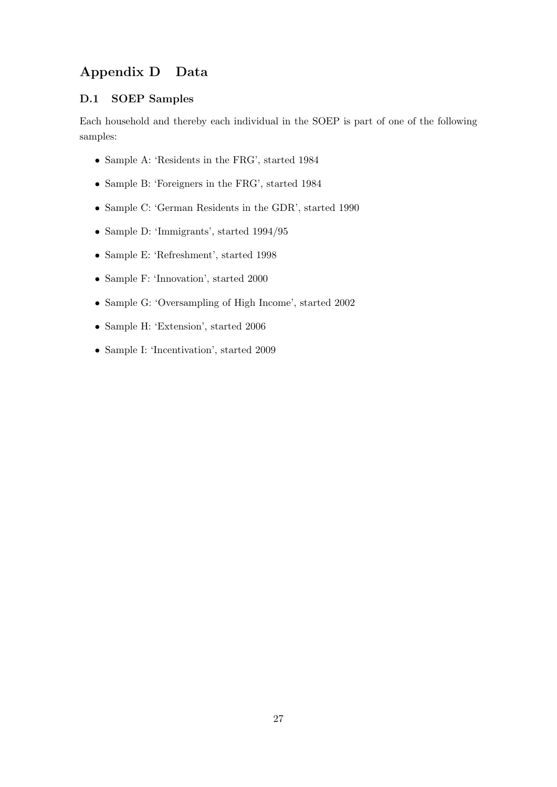## Appendix D Data

## D.1 SOEP Samples

Each household and thereby each individual in the SOEP is part of one of the following samples:

- Sample A: 'Residents in the FRG', started 1984
- Sample B: 'Foreigners in the FRG', started 1984
- Sample C: 'German Residents in the GDR', started 1990
- Sample D: 'Immigrants', started 1994/95
- Sample E: 'Refreshment', started 1998
- Sample F: 'Innovation', started 2000
- Sample G: 'Oversampling of High Income', started 2002
- Sample H: 'Extension', started 2006
- Sample I: 'Incentivation', started 2009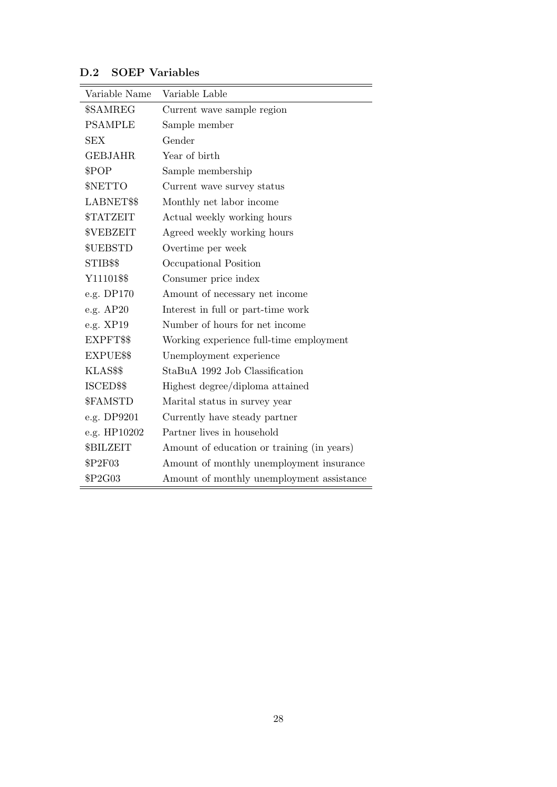| Variable Name                 | Variable Lable                             |
|-------------------------------|--------------------------------------------|
| \$SAMREG                      | Current wave sample region                 |
| <b>PSAMPLE</b>                | Sample member                              |
| SEX                           | Gender                                     |
| <b>GEBJAHR</b>                | Year of birth                              |
| \$POP                         | Sample membership                          |
| \$NETTO                       | Current wave survey status                 |
| LABNET\$\$                    | Monthly net labor income                   |
| <b><i><u>STATZEIT</u></i></b> | Actual weekly working hours                |
| <b>\$VEBZEIT</b>              | Agreed weekly working hours                |
| \$UEBSTD                      | Overtime per week                          |
| STIB\$\$                      | Occupational Position                      |
| Y11101\$\$                    | Consumer price index                       |
| e.g. DP170                    | Amount of necessary net income             |
| e.g. AP20                     | Interest in full or part-time work         |
| e.g. XP19                     | Number of hours for net income             |
| EXPFT\$\$                     | Working experience full-time employment    |
| EXPUE\$\$                     | Unemployment experience                    |
| KLAS\$\$                      | StaBuA 1992 Job Classification             |
| ISCED\$\$                     | Highest degree/diploma attained            |
| \$FAMSTD                      | Marital status in survey year              |
| e.g. DP9201                   | Currently have steady partner              |
| e.g. HP10202                  | Partner lives in household                 |
| <b>\$BILZEIT</b>              | Amount of education or training (in years) |
| \$P2F03                       | Amount of monthly unemployment insurance   |
| \$P2G03                       | Amount of monthly unemployment assistance  |

## D.2 SOEP Variables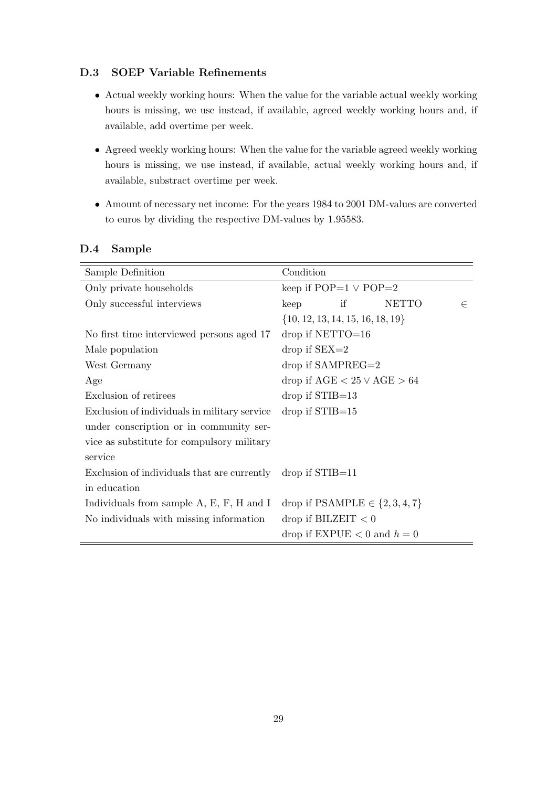### D.3 SOEP Variable Refinements

- Actual weekly working hours: When the value for the variable actual weekly working hours is missing, we use instead, if available, agreed weekly working hours and, if available, add overtime per week.
- Agreed weekly working hours: When the value for the variable agreed weekly working hours is missing, we use instead, if available, actual weekly working hours and, if available, substract overtime per week.
- Amount of necessary net income: For the years 1984 to 2001 DM-values are converted to euros by dividing the respective DM-values by 1.95583.

#### D.4 Sample

| Sample Definition                            | Condition                                      |  |  |  |
|----------------------------------------------|------------------------------------------------|--|--|--|
| Only private households                      | keep if $POP=1 \vee POP=2$                     |  |  |  |
| Only successful interviews                   | if<br><b>NETTO</b><br>keep<br>$\in$            |  |  |  |
|                                              | $\{10, 12, 13, 14, 15, 16, 18, 19\}$           |  |  |  |
| No first time interviewed persons aged 17    | $drop$ if NETTO=16                             |  |  |  |
| Male population                              | $drop$ if $SEX=2$                              |  |  |  |
| West Germany                                 | $drop$ if SAMPREG=2                            |  |  |  |
| Age                                          | drop if $\text{AGE} < 25 \vee \text{AGE} > 64$ |  |  |  |
| Exclusion of retirees                        | $drop$ if $STIB=13$                            |  |  |  |
| Exclusion of individuals in military service | $drop$ if $STIB=15$                            |  |  |  |
| under conscription or in community ser-      |                                                |  |  |  |
| vice as substitute for compulsory military   |                                                |  |  |  |
| service                                      |                                                |  |  |  |
| Exclusion of individuals that are currently  | $drop$ if $STIB=11$                            |  |  |  |
| in education                                 |                                                |  |  |  |
| Individuals from sample $A, E, F, H$ and I   | drop if PSAMPLE $\in \{2, 3, 4, 7\}$           |  |  |  |
| No individuals with missing information      | drop if BILZEIT $< 0$                          |  |  |  |
|                                              | drop if EXPUE $< 0$ and $h = 0$                |  |  |  |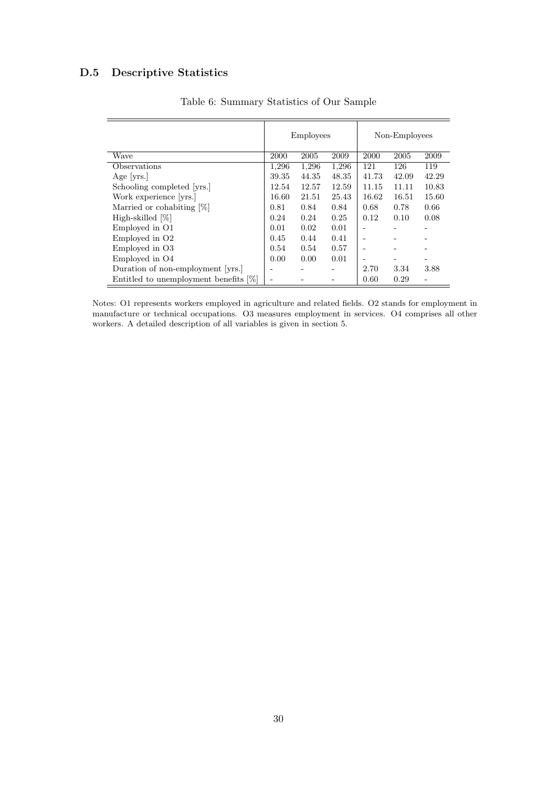## D.5 Descriptive Statistics

|                                          |       | <b>Employees</b> |       |       | Non-Employees |       |  |
|------------------------------------------|-------|------------------|-------|-------|---------------|-------|--|
| Wave                                     | 2000  | 2005             | 2009  | 2000  | 2005          | 2009  |  |
| Observations                             | 1,296 | 1,296            | 1,296 | 121   | 126           | 119   |  |
| Age $ {\rm vrs.} $                       | 39.35 | 44.35            | 48.35 | 41.73 | 42.09         | 42.29 |  |
| Schooling completed [yrs.]               | 12.54 | 12.57            | 12.59 | 11.15 | 11.11         | 10.83 |  |
| Work experience [yrs.]                   | 16.60 | 21.51            | 25.43 | 16.62 | 16.51         | 15.60 |  |
| Married or cohabiting [%]                | 0.81  | 0.84             | 0.84  | 0.68  | 0.78          | 0.66  |  |
| High-skilled [%]                         | 0.24  | 0.24             | 0.25  | 0.12  | 0.10          | 0.08  |  |
| Employed in O1                           | 0.01  | 0.02             | 0.01  |       |               |       |  |
| Employed in O <sub>2</sub>               | 0.45  | 0.44             | 0.41  |       |               |       |  |
| Employed in O <sub>3</sub>               | 0.54  | 0.54             | 0.57  |       |               |       |  |
| Employed in O4                           | 0.00  | 0.00             | 0.01  |       |               | -     |  |
| Duration of non-employment [yrs.]        |       |                  |       | 2.70  | 3.34          | 3.88  |  |
| Entitled to unemployment benefits $[\%]$ |       |                  |       | 0.60  | 0.29          |       |  |

Table 6: Summary Statistics of Our Sample

Notes: O1 represents workers employed in agriculture and related fields. O2 stands for employment in manufacture or technical occupations. O3 measures employment in services. O4 comprises all other workers. A detailed description of all variables is given in section 5.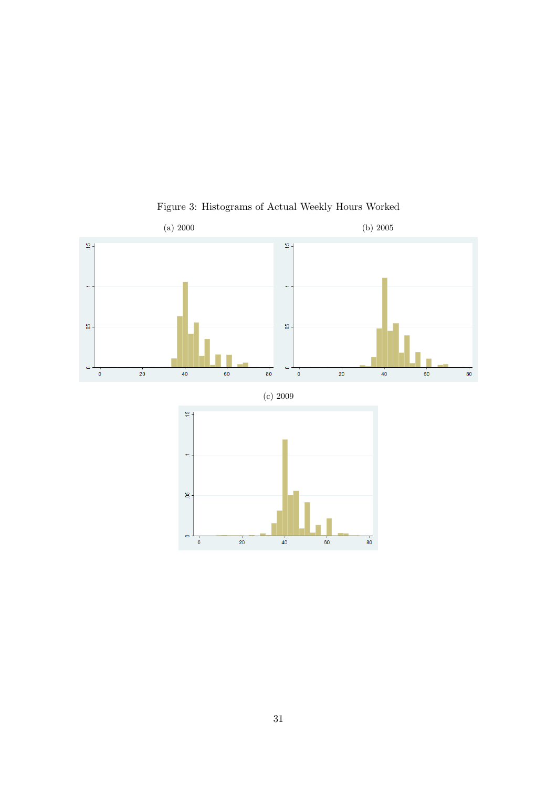

Figure 3: Histograms of Actual Weekly Hours Worked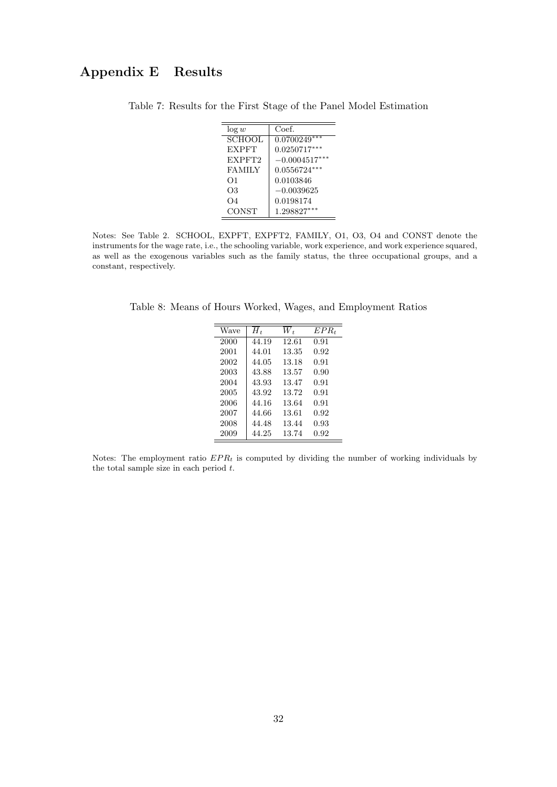## Appendix E Results

| $\log w$      | Coef.           |
|---------------|-----------------|
| <b>SCHOOL</b> | $0.0700249***$  |
| <b>EXPFT</b>  | $0.0250717***$  |
| EXPFT2        | $-0.0004517***$ |
| <b>FAMILY</b> | $0.0556724***$  |
| O1            | 0.0103846       |
| О3            | $-0.0039625$    |
| $\Omega$      | 0.0198174       |
| CONST         | 1.298827***     |

Table 7: Results for the First Stage of the Panel Model Estimation

Notes: See Table 2. SCHOOL, EXPFT, EXPFT2, FAMILY, O1, O3, O4 and CONST denote the instruments for the wage rate, i.e., the schooling variable, work experience, and work experience squared, as well as the exogenous variables such as the family status, the three occupational groups, and a constant, respectively.

Table 8: Means of Hours Worked, Wages, and Employment Ratios

| Wave | $H_t$ | W+    | $EPR_t$ |
|------|-------|-------|---------|
| 2000 | 44.19 | 12.61 | 0.91    |
| 2001 | 44.01 | 13.35 | 0.92    |
| 2002 | 44.05 | 13.18 | 0.91    |
| 2003 | 43.88 | 13.57 | 0.90    |
| 2004 | 43.93 | 13.47 | 0.91    |
| 2005 | 43.92 | 13.72 | 0.91    |
| 2006 | 44.16 | 13.64 | 0.91    |
| 2007 | 44.66 | 13.61 | 0.92    |
| 2008 | 44.48 | 13.44 | 0.93    |
| 2009 | 44.25 | 13.74 | 0.92    |
|      |       |       |         |

Notes: The employment ratio  $EPR_t$  is computed by dividing the number of working individuals by the total sample size in each period  $t$ .